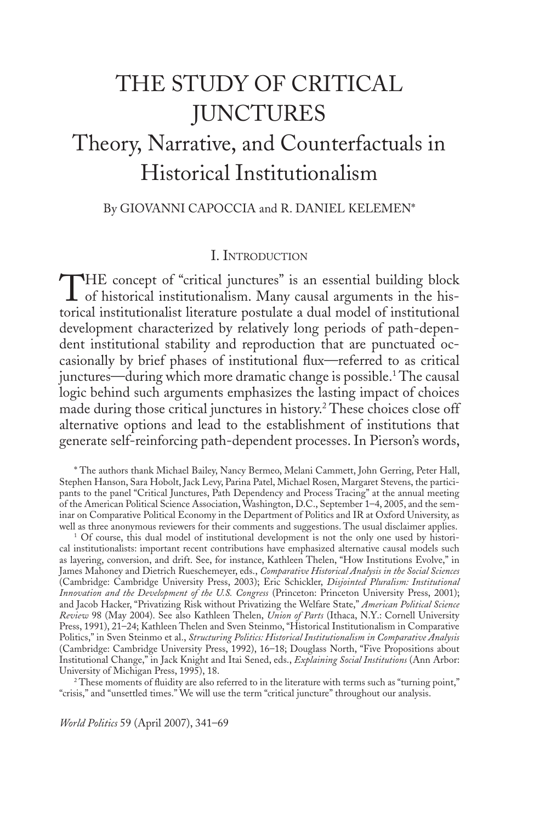# THE STUDY OF CRITICAL **JUNCTURES**

# Theory, Narrative, and Counterfactuals in Historical Institutionalism

### By GIOVANNI CAPOCCIA and R. DANIEL KELEMEN\*

#### I. Introduction

THE concept of "critical junctures" is an essential building block of historical institutionalism. Many causal arguments in the historical institutionalist literature postulate a dual model of institutional development characterized by relatively long periods of path-dependent institutional stability and reproduction that are punctuated occasionally by brief phases of institutional flux—referred to as critical junctures—during which more dramatic change is possible.1 The causal logic behind such arguments emphasizes the lasting impact of choices made during those critical junctures in history.<sup>2</sup> These choices close off alternative options and lead to the establishment of institutions that generate self-reinforcing path-dependent processes. In Pierson's words,

\* The authors thank Michael Bailey, Nancy Bermeo, Melani Cammett, John Gerring, Peter Hall, Stephen Hanson, Sara Hobolt, Jack Levy, Parina Patel, Michael Rosen, Margaret Stevens, the participants to the panel "Critical Junctures, Path Dependency and Process Tracing" at the annual meeting of the American Political Science Association, Washington, D.C., September 1–4, 2005, and the seminar on Comparative Political Economy in the Department of Politics and IR at Oxford University, as well as three anonymous reviewers for their comments and suggestions. The usual disclaimer applies.

<sup>1</sup> Of course, this dual model of institutional development is not the only one used by historical institutionalists: important recent contributions have emphasized alternative causal models such as layering, conversion, and drift. See, for instance, Kathleen Thelen, "How Institutions Evolve," in James Mahoney and Dietrich Rueschemeyer, eds., *Comparative Historical Analysis in the Social Sciences*  (Cambridge: Cambridge University Press, 2003); Eric Schickler, *Disjointed Pluralism: Institutional Innovation and the Development of the U.S. Congress* (Princeton: Princeton University Press, 2001); and Jacob Hacker, "Privatizing Risk without Privatizing the Welfare State," *American Political Science Review* 98 (May 2004). See also Kathleen Thelen, *Union of Parts* (Ithaca, N.Y.: Cornell University Press, 1991), 21–24; Kathleen Thelen and Sven Steinmo, "Historical Institutionalism in Comparative Politics," in Sven Steinmo et al., *Structuring Politics: Historical Institutionalism in Comparative Analysis* (Cambridge: Cambridge University Press, 1992), 16–18; Douglass North, "Five Propositions about Institutional Change," in Jack Knight and Itai Sened, eds., *Explaining Social Institutions* (Ann Arbor: University of Michigan Press, 1995), 18.

2 These moments of fluidity are also referred to in the literature with terms such as "turning point," "crisis," and "unsettled times." We will use the term "critical juncture" throughout our analysis.

*World Politics* 59 (April 2007), 341–69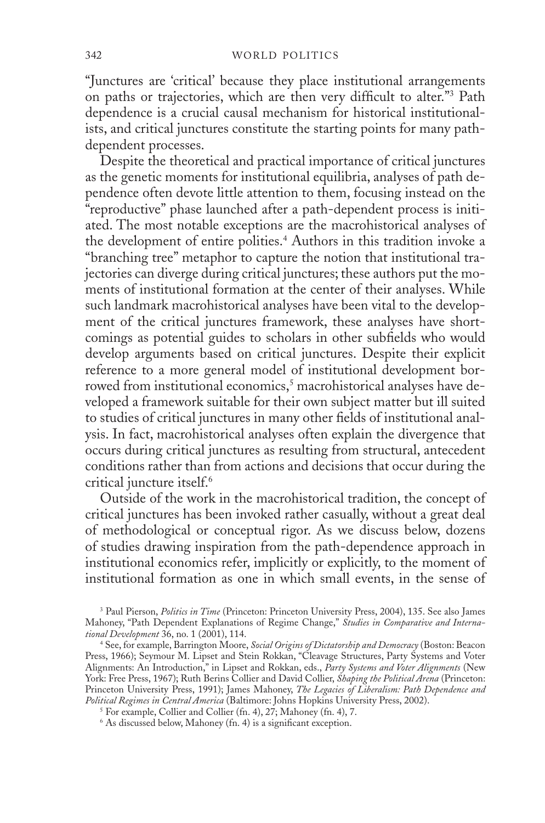"Junctures are 'critical' because they place institutional arrangements on paths or trajectories, which are then very difficult to alter."3 Path dependence is a crucial causal mechanism for historical institutionalists, and critical junctures constitute the starting points for many pathdependent processes.

Despite the theoretical and practical importance of critical junctures as the genetic moments for institutional equilibria, analyses of path dependence often devote little attention to them, focusing instead on the "reproductive" phase launched after a path-dependent process is initiated. The most notable exceptions are the macrohistorical analyses of the development of entire polities.<sup>4</sup> Authors in this tradition invoke a "branching tree" metaphor to capture the notion that institutional trajectories can diverge during critical junctures; these authors put the moments of institutional formation at the center of their analyses. While such landmark macrohistorical analyses have been vital to the development of the critical junctures framework, these analyses have shortcomings as potential guides to scholars in other subfields who would develop arguments based on critical junctures. Despite their explicit reference to a more general model of institutional development borrowed from institutional economics,<sup>5</sup> macrohistorical analyses have developed a framework suitable for their own subject matter but ill suited to studies of critical junctures in many other fields of institutional analysis. In fact, macrohistorical analyses often explain the divergence that occurs during critical junctures as resulting from structural, antecedent conditions rather than from actions and decisions that occur during the critical juncture itself.6

Outside of the work in the macrohistorical tradition, the concept of critical junctures has been invoked rather casually, without a great deal of methodological or conceptual rigor. As we discuss below, dozens of studies drawing inspiration from the path-dependence approach in institutional economics refer, implicitly or explicitly, to the moment of institutional formation as one in which small events, in the sense of

<sup>3</sup> Paul Pierson, *Politics in Time* (Princeton: Princeton University Press, 2004), 135. See also James Mahoney, "Path Dependent Explanations of Regime Change," *Studies in Comparative and International Development* 36, no. 1 (2001), 114.

<sup>4</sup> See, for example, Barrington Moore, *Social Origins of Dictatorship and Democracy* (Boston: Beacon Press, 1966); Seymour M. Lipset and Stein Rokkan, "Cleavage Structures, Party Systems and Voter Alignments: An Introduction," in Lipset and Rokkan, eds., *Party Systems and Voter Alignments* (New York: Free Press, 1967); Ruth Berins Collier and David Collier, *Shaping the Political Arena* (Princeton: Princeton University Press, 1991); James Mahoney, *The Legacies of Liberalism: Path Dependence and*  Political Regimes in Central America (Baltimore: Johns Hopkins University Press, 2002).<br><sup>5</sup> For example, Collier and Collier (fn. 4), 27; Mahoney (fn. 4), 7.<br><sup>6</sup> As discussed below, Mahoney (fn. 4) is a significant excepti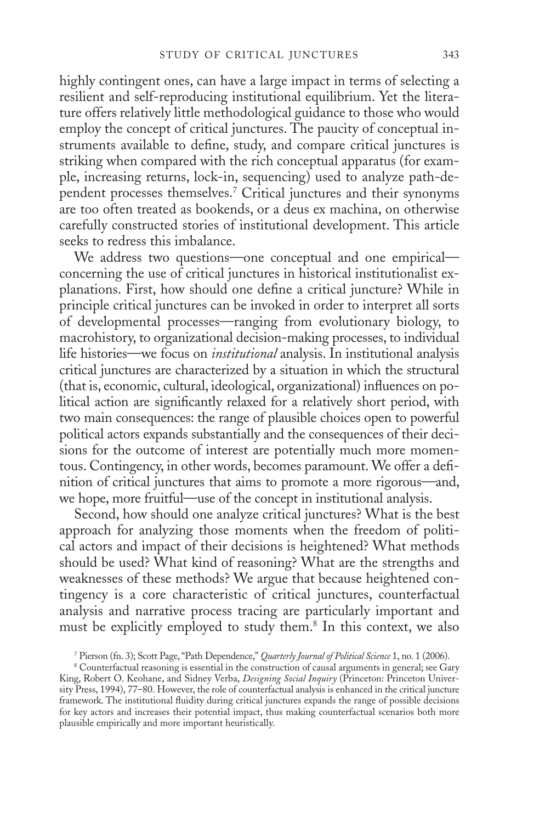highly contingent ones, can have a large impact in terms of selecting a resilient and self-reproducing institutional equilibrium. Yet the literature offers relatively little methodological guidance to those who would employ the concept of critical junctures. The paucity of conceptual instruments available to define, study, and compare critical junctures is striking when compared with the rich conceptual apparatus (for example, increasing returns, lock-in, sequencing) used to analyze path-dependent processes themselves.7 Critical junctures and their synonyms are too often treated as bookends, or a deus ex machina, on otherwise carefully constructed stories of institutional development. This article seeks to redress this imbalance.

We address two questions—one conceptual and one empirical concerning the use of critical junctures in historical institutionalist explanations. First, how should one define a critical juncture? While in principle critical junctures can be invoked in order to interpret all sorts of developmental processes—ranging from evolutionary biology, to macrohistory, to organizational decision-making processes, to individual life histories—we focus on *institutional* analysis. In institutional analysis critical junctures are characterized by a situation in which the structural (that is, economic, cultural, ideological, organizational) influences on political action are significantly relaxed for a relatively short period, with two main consequences: the range of plausible choices open to powerful political actors expands substantially and the consequences of their decisions for the outcome of interest are potentially much more momentous. Contingency, in other words, becomes paramount. We offer a definition of critical junctures that aims to promote a more rigorous—and, we hope, more fruitful—use of the concept in institutional analysis.

Second, how should one analyze critical junctures? What is the best approach for analyzing those moments when the freedom of political actors and impact of their decisions is heightened? What methods should be used? What kind of reasoning? What are the strengths and weaknesses of these methods? We argue that because heightened contingency is a core characteristic of critical junctures, counterfactual analysis and narrative process tracing are particularly important and must be explicitly employed to study them.<sup>8</sup> In this context, we also

<sup>7</sup> Pierson (fn. 3); Scott Page, "Path Dependence," *Quarterly Journal of Political Science* 1, no. 1 (2006). 8

Counterfactual reasoning is essential in the construction of causal arguments in general; see Gary King, Robert O. Keohane, and Sidney Verba, *Designing Social Inquiry* (Princeton: Princeton University Press, 1994), 77–80. However, the role of counterfactual analysis is enhanced in the critical juncture framework. The institutional fluidity during critical junctures expands the range of possible decisions for key actors and increases their potential impact, thus making counterfactual scenarios both more plausible empirically and more important heuristically.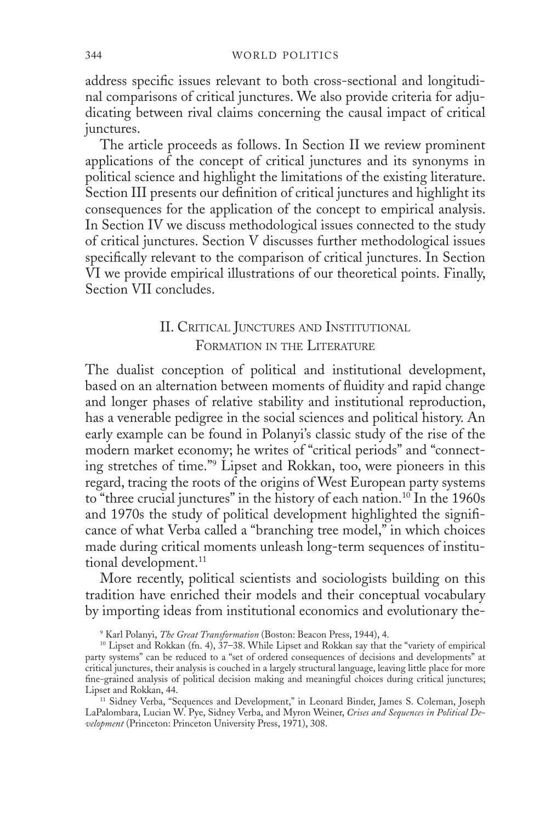address specific issues relevant to both cross-sectional and longitudinal comparisons of critical junctures. We also provide criteria for adjudicating between rival claims concerning the causal impact of critical junctures.

The article proceeds as follows. In Section II we review prominent applications of the concept of critical junctures and its synonyms in political science and highlight the limitations of the existing literature. Section III presents our definition of critical junctures and highlight its consequences for the application of the concept to empirical analysis. In Section IV we discuss methodological issues connected to the study of critical junctures. Section V discusses further methodological issues specifically relevant to the comparison of critical junctures. In Section VI we provide empirical illustrations of our theoretical points. Finally, Section VII concludes.

## II. CRITICAL JUNCTURES AND INSTITUTIONAL Formation in the Literature

The dualist conception of political and institutional development, based on an alternation between moments of fluidity and rapid change and longer phases of relative stability and institutional reproduction, has a venerable pedigree in the social sciences and political history. An early example can be found in Polanyi's classic study of the rise of the modern market economy; he writes of "critical periods" and "connecting stretches of time."9 Lipset and Rokkan, too, were pioneers in this regard, tracing the roots of the origins of West European party systems to "three crucial junctures" in the history of each nation.<sup>10</sup> In the 1960s and 1970s the study of political development highlighted the significance of what Verba called a "branching tree model," in which choices made during critical moments unleash long-term sequences of institutional development.<sup>11</sup>

More recently, political scientists and sociologists building on this tradition have enriched their models and their conceptual vocabulary by importing ideas from institutional economics and evolutionary the-

<sup>11</sup> Sidney Verba, "Sequences and Development," in Leonard Binder, James S. Coleman, Joseph LaPalombara, Lucian W. Pye, Sidney Verba, and Myron Weiner, *Crises and Sequences in Political Development* (Princeton: Princeton University Press, 1971), 308.

<sup>9</sup> Karl Polanyi, *The Great Transformation* (Boston: Beacon Press, 1944), 4.

<sup>10</sup> Lipset and Rokkan (fn. 4), 37–38. While Lipset and Rokkan say that the "variety of empirical party systems" can be reduced to a "set of ordered consequences of decisions and developments" at critical junctures, their analysis is couched in a largely structural language, leaving little place for more fine-grained analysis of political decision making and meaningful choices during critical junctures; Lipset and Rokkan, 44.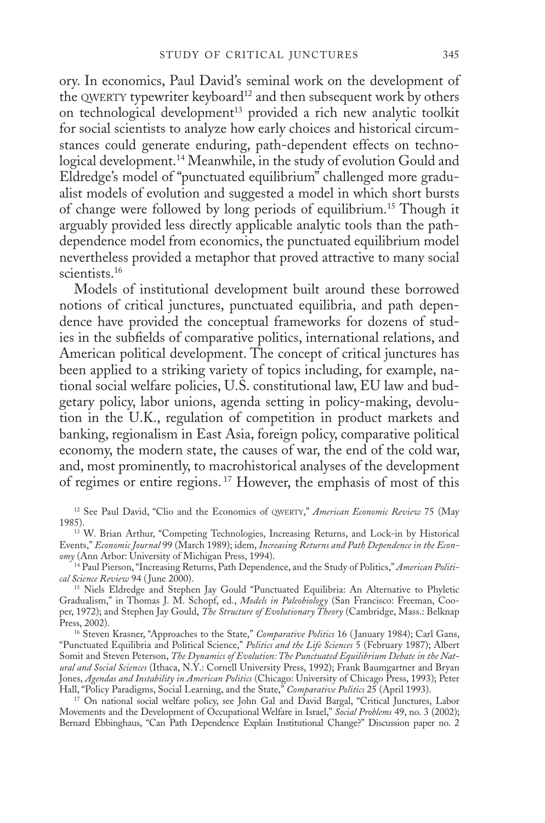ory. In economics, Paul David's seminal work on the development of the QWERTY typewriter keyboard<sup>12</sup> and then subsequent work by others on technological development<sup>13</sup> provided a rich new analytic toolkit for social scientists to analyze how early choices and historical circumstances could generate enduring, path-dependent effects on technological development.<sup>14</sup> Meanwhile, in the study of evolution Gould and Eldredge's model of "punctuated equilibrium" challenged more gradualist models of evolution and suggested a model in which short bursts of change were followed by long periods of equilibrium.15 Though it arguably provided less directly applicable analytic tools than the pathdependence model from economics, the punctuated equilibrium model nevertheless provided a metaphor that proved attractive to many social scientists.<sup>16</sup>

Models of institutional development built around these borrowed notions of critical junctures, punctuated equilibria, and path dependence have provided the conceptual frameworks for dozens of studies in the subfields of comparative politics, international relations, and American political development. The concept of critical junctures has been applied to a striking variety of topics including, for example, national social welfare policies, U.S. constitutional law, EU law and budgetary policy, labor unions, agenda setting in policy-making, devolution in the U.K., regulation of competition in product markets and banking, regionalism in East Asia, foreign policy, comparative political economy, the modern state, the causes of war, the end of the cold war, and, most prominently, to macrohistorical analyses of the development of regimes or entire regions. 17 However, the emphasis of most of this

<sup>12</sup> See Paul David, "Clio and the Economics of QWERTY," American Economic Review 75 (May 1985). 13 W. Brian Arthur, "Competing Technologies, Increasing Returns, and Lock-in by Historical

<sup>14</sup> Paul Pierson, "Increasing Returns, Path Dependence, and the Study of Politics," *American Political Science Review* 94 ( June 2000).

<sup>15</sup> Niels Eldredge and Stephen Jay Gould "Punctuated Equilibria: An Alternative to Phyletic Gradualism," in Thomas J. M. Schopf, ed., *Models in Paleobiology* (San Francisco: Freeman, Cooper, 1972); and Stephen Jay Gould, *The Structure of Evolutionary Theory* (Cambridge, Mass.: Belknap Press, 2002).

<sup>16</sup> Steven Krasner, "Approaches to the State," *Comparative Politics* 16 (January 1984); Carl Gans, "Punctuated Equilibria and Political Science," *Politics and the Life Sciences* 5 (February 1987); Albert Somit and Steven Peterson, *The Dynamics of Evolution: The Punctuated Equilibrium Debate in the Natural and Social Sciences* (Ithaca, N.Y.: Cornell University Press, 1992); Frank Baumgartner and Bryan Jones, *Agendas and Instability in American Politics* (Chicago: University of Chicago Press, 1993); Peter Hall, "Policy Paradigms, Social Learning, and the State," *Comparative Politics* 25 (April 1993).

<sup>17</sup> On national social welfare policy, see John Gal and David Bargal, "Critical Junctures, Labor Movements and the Development of Occupational Welfare in Israel," *Social Problems* 49, no. 3 (2002); Bernard Ebbinghaus, "Can Path Dependence Explain Institutional Change?" Discussion paper no. 2

Events," *Economic Journal* 99 (March 1989); idem, *Increasing Returns and Path Dependence in the Economy* (Ann Arbor: University of Michigan Press, 1994).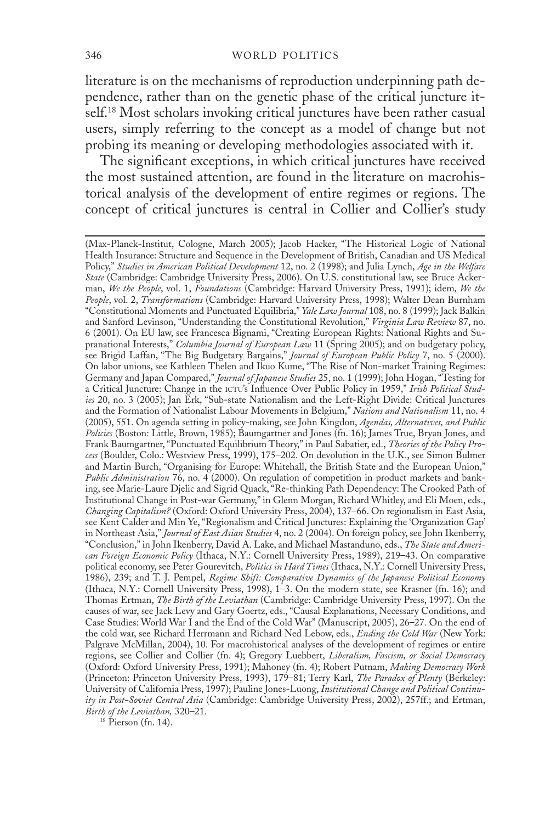literature is on the mechanisms of reproduction underpinning path dependence, rather than on the genetic phase of the critical juncture itself.<sup>18</sup> Most scholars invoking critical junctures have been rather casual users, simply referring to the concept as a model of change but not probing its meaning or developing methodologies associated with it.

The significant exceptions, in which critical junctures have received the most sustained attention, are found in the literature on macrohistorical analysis of the development of entire regimes or regions. The concept of critical junctures is central in Collier and Collier's study

 $18$  Pierson (fn. 14).

<sup>(</sup>Max-Planck-Institut, Cologne, March 2005); Jacob Hacker, "The Historical Logic of National Health Insurance: Structure and Sequence in the Development of British, Canadian and US Medical Policy," *Studies in American Political Development* 12, no. 2 (1998); and Julia Lynch, *Age in the Welfare State* (Cambridge: Cambridge University Press, 2006). On U.S. constitutional law, see Bruce Ackerman, *We the People*, vol. 1, *Foundations* (Cambridge: Harvard University Press, 1991); idem*, We the People*, vol. 2, *Transformations* (Cambridge: Harvard University Press, 1998); Walter Dean Burnham "Constitutional Moments and Punctuated Equilibria," *Yale Law Journal* 108, no. 8 (1999); Jack Balkin and Sanford Levinson, "Understanding the Constitutional Revolution," *Virginia Law Review* 87, no. 6 (2001). On EU law, see Francesca Bignami, "Creating European Rights: National Rights and Supranational Interests," *Columbia Journal of European Law* 11 (Spring 2005); and on budgetary policy, see Brigid Laffan, "The Big Budgetary Bargains," *Journal of European Public Policy* 7, no. 5 (2000). On labor unions, see Kathleen Thelen and Ikuo Kume, "The Rise of Non-market Training Regimes: Germany and Japan Compared," *Journal of Japanese Studies* 25, no. 1 (1999); John Hogan, "Testing for a Critical Juncture: Change in the ictu's Influence Over Public Policy in 1959," *Irish Political Studies* 20, no. 3 (2005); Jan Erk, "Sub-state Nationalism and the Left-Right Divide: Critical Junctures and the Formation of Nationalist Labour Movements in Belgium," *Nations and Nationalism* 11, no. 4 (2005), 551. On agenda setting in policy-making, see John Kingdon, *Agendas, Alternatives, and Public Policies* (Boston: Little, Brown, 1985); Baumgartner and Jones (fn. 16); James True, Bryan Jones, and Frank Baumgartner, "Punctuated Equilibrium Theory," in Paul Sabatier, ed., *Theories of the Policy Process* (Boulder, Colo.: Westview Press, 1999), 175–202. On devolution in the U.K., see Simon Bulmer and Martin Burch, "Organising for Europe: Whitehall, the British State and the European Union," *Public Administration* 76, no. 4 (2000). On regulation of competition in product markets and banking, see Marie-Laure Djelic and Sigrid Quack, "Re-thinking Path Dependency: The Crooked Path of Institutional Change in Post-war Germany," in Glenn Morgan, Richard Whitley, and Eli Moen, eds., *Changing Capitalism?* (Oxford: Oxford University Press, 2004), 137–66. On regionalism in East Asia, see Kent Calder and Min Ye, "Regionalism and Critical Junctures: Explaining the 'Organization Gap' in Northeast Asia," *Journal of East Asian Studies* 4, no. 2 (2004). On foreign policy, see John Ikenberry, "Conclusion," in John Ikenberry, David A. Lake, and Michael Mastanduno, eds., *The State and American Foreign Economic Policy* (Ithaca, N.Y.: Cornell University Press, 1989), 219–43. On comparative political economy, see Peter Gourevitch, *Politics in Hard Times* (Ithaca, N.Y.: Cornell University Press, 1986), 239; and T. J. Pempel, *Regime Shift: Comparative Dynamics of the Japanese Political Economy* (Ithaca, N.Y.: Cornell University Press, 1998), 1–3. On the modern state, see Krasner (fn. 16); and Thomas Ertman, *The Birth of the Leviathan* (Cambridge: Cambridge University Press, 1997). On the causes of war, see Jack Levy and Gary Goertz, eds., "Causal Explanations, Necessary Conditions, and Case Studies: World War I and the End of the Cold War" (Manuscript, 2005), 26–27. On the end of the cold war, see Richard Herrmann and Richard Ned Lebow, eds., *Ending the Cold War* (New York: Palgrave McMillan, 2004), 10. For macrohistorical analyses of the development of regimes or entire regions, see Collier and Collier (fn. 4); Gregory Luebbert, *Liberalism, Fascism, or Social Democracy* (Oxford: Oxford University Press, 1991); Mahoney (fn. 4); Robert Putnam, *Making Democracy Work*  (Princeton: Princeton University Press, 1993), 179–81; Terry Karl, *The Paradox of Plenty* (Berkeley: University of California Press, 1997); Pauline Jones-Luong, *Institutional Change and Political Continuity in Post-Soviet Central Asia* (Cambridge: Cambridge University Press, 2002), 257ff.; and Ertman, *Birth of the Leviathan,* 320–21.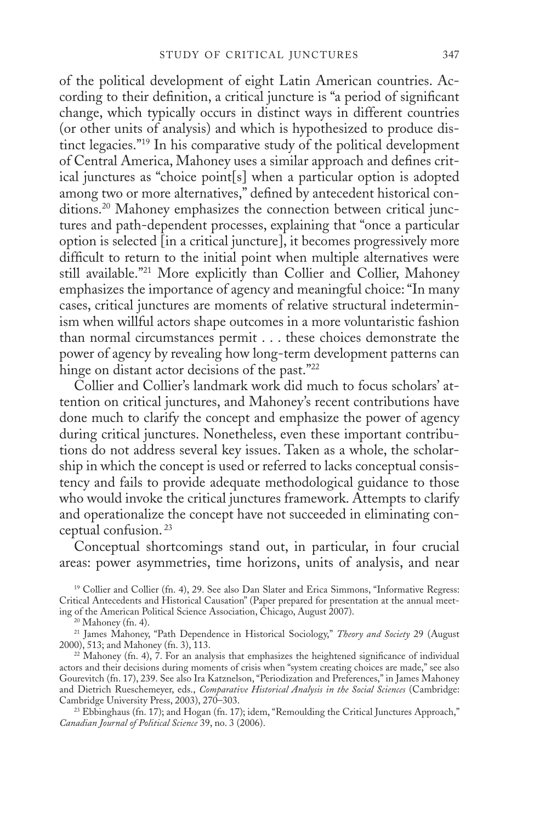of the political development of eight Latin American countries. According to their definition, a critical juncture is "a period of significant change, which typically occurs in distinct ways in different countries (or other units of analysis) and which is hypothesized to produce distinct legacies."19 In his comparative study of the political development of Central America, Mahoney uses a similar approach and defines critical junctures as "choice point[s] when a particular option is adopted among two or more alternatives," defined by antecedent historical conditions.<sup>20</sup> Mahoney emphasizes the connection between critical junctures and path-dependent processes, explaining that "once a particular option is selected [in a critical juncture], it becomes progressively more difficult to return to the initial point when multiple alternatives were still available."21 More explicitly than Collier and Collier, Mahoney emphasizes the importance of agency and meaningful choice: "In many cases, critical junctures are moments of relative structural indeterminism when willful actors shape outcomes in a more voluntaristic fashion than normal circumstances permit . . . these choices demonstrate the power of agency by revealing how long-term development patterns can hinge on distant actor decisions of the past."<sup>22</sup>

Collier and Collier's landmark work did much to focus scholars' attention on critical junctures, and Mahoney's recent contributions have done much to clarify the concept and emphasize the power of agency during critical junctures. Nonetheless, even these important contributions do not address several key issues. Taken as a whole, the scholarship in which the concept is used or referred to lacks conceptual consistency and fails to provide adequate methodological guidance to those who would invoke the critical junctures framework. Attempts to clarify and operationalize the concept have not succeeded in eliminating conceptual confusion. 23

Conceptual shortcomings stand out, in particular, in four crucial areas: power asymmetries, time horizons, units of analysis, and near

19 Collier and Collier (fn. 4), 29. See also Dan Slater and Erica Simmons, "Informative Regress: Critical Antecedents and Historical Causation" (Paper prepared for presentation at the annual meeting of the American Political Science Association, Chicago, August 2007). 20 Mahoney (fn. 4).

21 James Mahoney, "Path Dependence in Historical Sociology," *Theory and Society* 29 (August 2000), 513; and Mahoney (fn. 3), 113.

 $22$  Mahoney (fn. 4), 7. For an analysis that emphasizes the heightened significance of individual actors and their decisions during moments of crisis when "system creating choices are made," see also Gourevitch (fn. 17), 239. See also Ira Katznelson, "Periodization and Preferences," in James Mahoney and Dietrich Rueschemeyer, eds., *Comparative Historical Analysis in the Social Sciences* (Cambridge: Cambridge University Press, 2003), 270-303.

<sup>23</sup> Ebbinghaus (fn. 17); and Hogan (fn. 17); idem, "Remoulding the Critical Junctures Approach," *Canadian Journal of Political Science* 39, no. 3 (2006).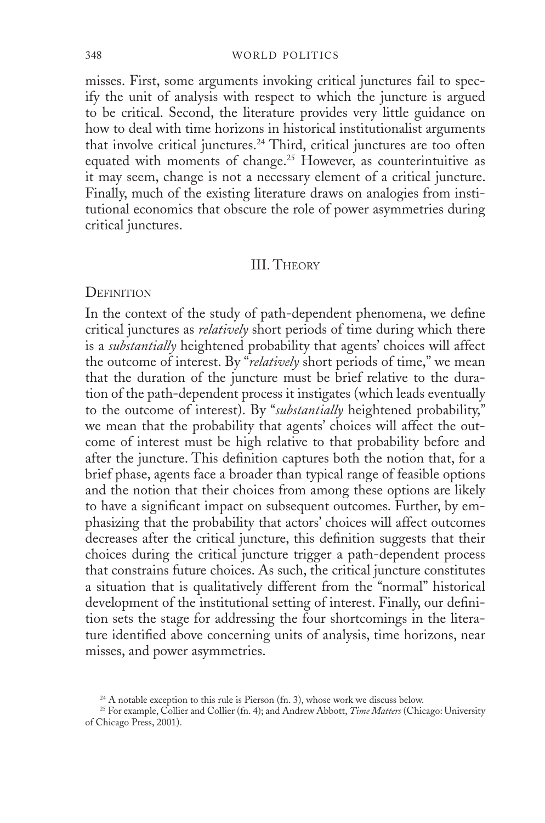#### 348 WORLD POLITICS

misses. First, some arguments invoking critical junctures fail to specify the unit of analysis with respect to which the juncture is argued to be critical. Second, the literature provides very little guidance on how to deal with time horizons in historical institutionalist arguments that involve critical junctures.<sup>24</sup> Third, critical junctures are too often equated with moments of change.<sup>25</sup> However, as counterintuitive as it may seem, change is not a necessary element of a critical juncture. Finally, much of the existing literature draws on analogies from institutional economics that obscure the role of power asymmetries during critical junctures.

#### III. Theory

#### **DEFINITION**

In the context of the study of path-dependent phenomena, we define critical junctures as *relatively* short periods of time during which there is a *substantially* heightened probability that agents' choices will affect the outcome of interest. By "*relatively* short periods of time," we mean that the duration of the juncture must be brief relative to the duration of the path-dependent process it instigates (which leads eventually to the outcome of interest). By "*substantially* heightened probability," we mean that the probability that agents' choices will affect the outcome of interest must be high relative to that probability before and after the juncture. This definition captures both the notion that, for a brief phase, agents face a broader than typical range of feasible options and the notion that their choices from among these options are likely to have a significant impact on subsequent outcomes. Further, by emphasizing that the probability that actors' choices will affect outcomes decreases after the critical juncture, this definition suggests that their choices during the critical juncture trigger a path-dependent process that constrains future choices. As such, the critical juncture constitutes a situation that is qualitatively different from the "normal" historical development of the institutional setting of interest. Finally, our definition sets the stage for addressing the four shortcomings in the literature identified above concerning units of analysis, time horizons, near misses, and power asymmetries.

<sup>&</sup>lt;sup>24</sup> A notable exception to this rule is Pierson (fn. 3), whose work we discuss below.<br><sup>25</sup> For example, Collier and Collier (fn. 4); and Andrew Abbott, *Time Matters* (Chicago: University of Chicago Press, 2001).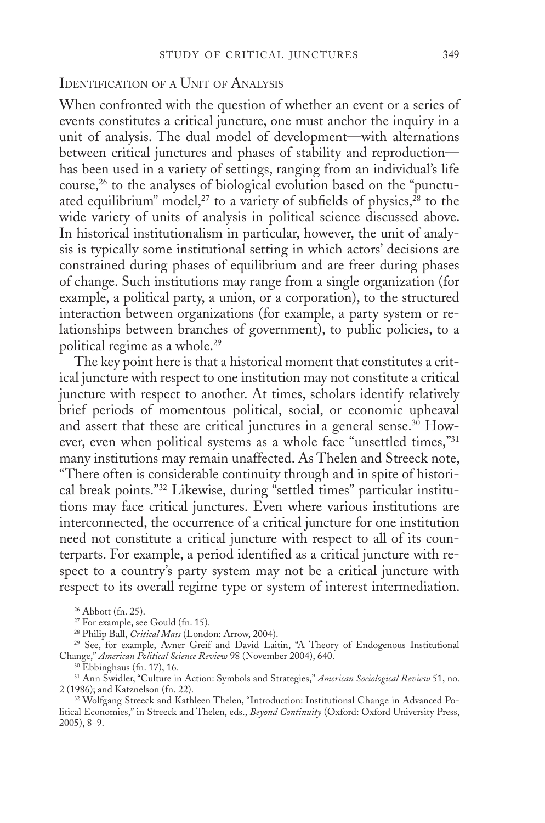#### IDENTIFICATION OF A UNIT OF ANALYSIS

When confronted with the question of whether an event or a series of events constitutes a critical juncture, one must anchor the inquiry in a unit of analysis. The dual model of development—with alternations between critical junctures and phases of stability and reproduction has been used in a variety of settings, ranging from an individual's life course,<sup>26</sup> to the analyses of biological evolution based on the "punctuated equilibrium" model,<sup>27</sup> to a variety of subfields of physics,<sup>28</sup> to the wide variety of units of analysis in political science discussed above. In historical institutionalism in particular, however, the unit of analysis is typically some institutional setting in which actors' decisions are constrained during phases of equilibrium and are freer during phases of change. Such institutions may range from a single organization (for example, a political party, a union, or a corporation), to the structured interaction between organizations (for example, a party system or relationships between branches of government), to public policies, to a political regime as a whole.<sup>29</sup>

The key point here is that a historical moment that constitutes a critical juncture with respect to one institution may not constitute a critical juncture with respect to another. At times, scholars identify relatively brief periods of momentous political, social, or economic upheaval and assert that these are critical junctures in a general sense. $3\overline{0}$  However, even when political systems as a whole face "unsettled times,"31 many institutions may remain unaffected. As Thelen and Streeck note, "There often is considerable continuity through and in spite of historical break points."32 Likewise, during "settled times" particular institutions may face critical junctures. Even where various institutions are interconnected, the occurrence of a critical juncture for one institution need not constitute a critical juncture with respect to all of its counterparts. For example, a period identified as a critical juncture with respect to a country's party system may not be a critical juncture with respect to its overall regime type or system of interest intermediation.

 $27$  For example, see Gould (fn. 15).

<sup>28</sup> Philip Ball, *Critical Mass* (London: Arrow, 2004).

29 See, for example, Avner Greif and David Laitin, "A Theory of Endogenous Institutional Change," *American Political Science Review* 98 (November 2004), 640. 30 Ebbinghaus (fn. 17), 16.

<sup>31</sup> Ann Swidler, "Culture in Action: Symbols and Strategies," *American Sociological Review* 51, no. 2 (1986); and Katznelson (fn. 22).

<sup>32</sup> Wolfgang Streeck and Kathleen Thelen, "Introduction: Institutional Change in Advanced Political Economies," in Streeck and Thelen, eds., *Beyond Continuity* (Oxford: Oxford University Press, 2005), 8–9.

<sup>&</sup>lt;sup>26</sup> Abbott (fn. 25).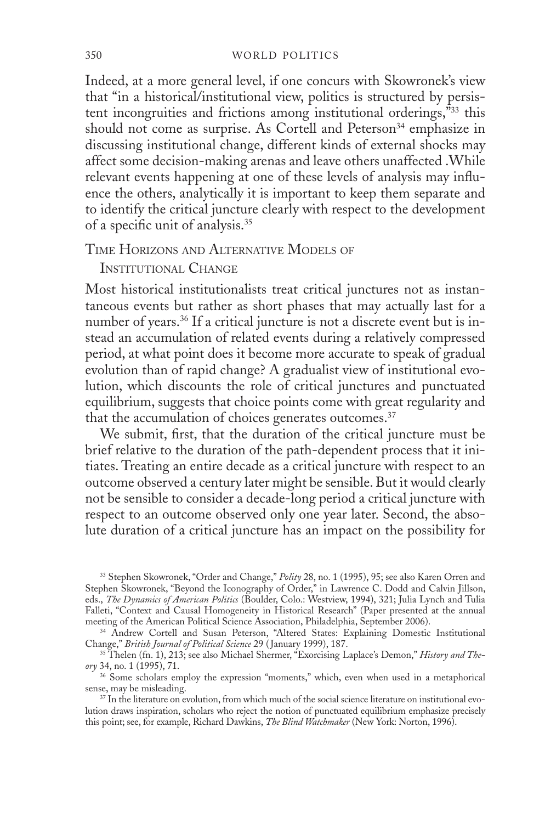#### 350 world politics

Indeed, at a more general level, if one concurs with Skowronek's view that "in a historical/institutional view, politics is structured by persistent incongruities and frictions among institutional orderings,"33 this should not come as surprise. As Cortell and Peterson<sup>34</sup> emphasize in discussing institutional change, different kinds of external shocks may affect some decision-making arenas and leave others unaffected .While relevant events happening at one of these levels of analysis may influence the others, analytically it is important to keep them separate and to identify the critical juncture clearly with respect to the development of a specific unit of analysis.35

## Time Horizons and Alternative Models of

## Institutional Change

Most historical institutionalists treat critical junctures not as instantaneous events but rather as short phases that may actually last for a number of years.<sup>36</sup> If a critical juncture is not a discrete event but is instead an accumulation of related events during a relatively compressed period, at what point does it become more accurate to speak of gradual evolution than of rapid change? A gradualist view of institutional evolution, which discounts the role of critical junctures and punctuated equilibrium, suggests that choice points come with great regularity and that the accumulation of choices generates outcomes.<sup>37</sup>

We submit, first, that the duration of the critical juncture must be brief relative to the duration of the path-dependent process that it initiates. Treating an entire decade as a critical juncture with respect to an outcome observed a century later might be sensible. But it would clearly not be sensible to consider a decade-long period a critical juncture with respect to an outcome observed only one year later. Second, the absolute duration of a critical juncture has an impact on the possibility for

33 Stephen Skowronek, "Order and Change," *Polity* 28, no. 1 (1995), 95; see also Karen Orren and Stephen Skowronek, "Beyond the Iconography of Order," in Lawrence C. Dodd and Calvin Jillson, eds., *The Dynamics of American Politics* (Boulder, Colo.: Westview, 1994), 321; Julia Lynch and Tulia Falleti, "Context and Causal Homogeneity in Historical Research" (Paper presented at the annual meeting of the American Political Science Association, Philadelphia, September 2006).

<sup>34</sup> Andrew Cortell and Susan Peterson, "Altered States: Explaining Domestic Institutional Change," *British Journal of Political Science* 29 ( January 1999), 187.

<sup>36</sup> Some scholars employ the expression "moments," which, even when used in a metaphorical sense, may be misleading.

<sup>37</sup> In the literature on evolution, from which much of the social science literature on institutional evolution draws inspiration, scholars who reject the notion of punctuated equilibrium emphasize precisely this point; see, for example, Richard Dawkins, *The Blind Watchmaker* (New York: Norton, 1996).

<sup>35</sup> Thelen (fn. 1), 213; see also Michael Shermer, "Exorcising Laplace's Demon," *History and Theory* 34, no. 1 (1995), 71.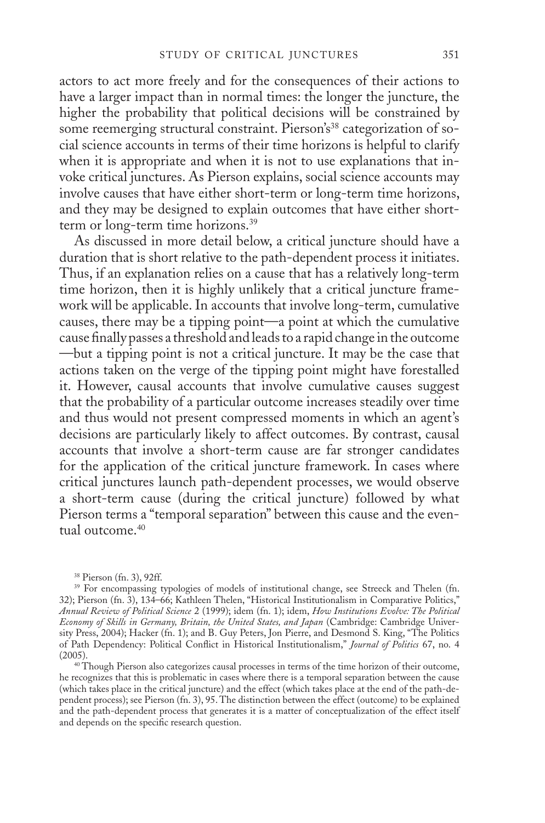actors to act more freely and for the consequences of their actions to have a larger impact than in normal times: the longer the juncture, the higher the probability that political decisions will be constrained by some reemerging structural constraint. Pierson's<sup>38</sup> categorization of social science accounts in terms of their time horizons is helpful to clarify when it is appropriate and when it is not to use explanations that invoke critical junctures. As Pierson explains, social science accounts may involve causes that have either short-term or long-term time horizons, and they may be designed to explain outcomes that have either shortterm or long-term time horizons.39

As discussed in more detail below, a critical juncture should have a duration that is short relative to the path-dependent process it initiates. Thus, if an explanation relies on a cause that has a relatively long-term time horizon, then it is highly unlikely that a critical juncture framework will be applicable. In accounts that involve long-term, cumulative causes, there may be a tipping point—a point at which the cumulative cause finally passes a threshold and leads to a rapid change in the outcome —but a tipping point is not a critical juncture. It may be the case that actions taken on the verge of the tipping point might have forestalled it. However, causal accounts that involve cumulative causes suggest that the probability of a particular outcome increases steadily over time and thus would not present compressed moments in which an agent's decisions are particularly likely to affect outcomes. By contrast, causal accounts that involve a short-term cause are far stronger candidates for the application of the critical juncture framework. In cases where critical junctures launch path-dependent processes, we would observe a short-term cause (during the critical juncture) followed by what Pierson terms a "temporal separation" between this cause and the eventual outcome.<sup>40</sup>

<sup>40</sup> Though Pierson also categorizes causal processes in terms of the time horizon of their outcome, he recognizes that this is problematic in cases where there is a temporal separation between the cause (which takes place in the critical juncture) and the effect (which takes place at the end of the path-dependent process); see Pierson (fn. 3), 95. The distinction between the effect (outcome) to be explained and the path-dependent process that generates it is a matter of conceptualization of the effect itself and depends on the specific research question.

<sup>38</sup> Pierson (fn. 3), 92ff.

<sup>&</sup>lt;sup>39</sup> For encompassing typologies of models of institutional change, see Streeck and Thelen (fn. 32); Pierson (fn. 3), 134–66; Kathleen Thelen, "Historical Institutionalism in Comparative Politics," *Annual Review of Political Science* 2 (1999); idem (fn. 1); idem, *How Institutions Evolve: The Political Economy of Skills in Germany, Britain, the United States, and Japan* (Cambridge: Cambridge University Press, 2004); Hacker (fn. 1); and B. Guy Peters, Jon Pierre, and Desmond S. King, "The Politics of Path Dependency: Political Conflict in Historical Institutionalism," *Journal of Politics* 67, no. 4 (2005).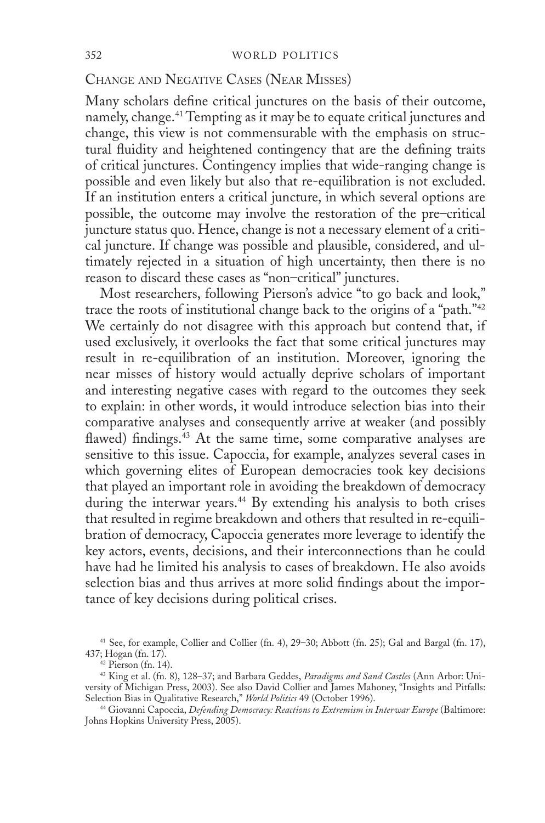### Change and Negative Cases (Near Misses)

Many scholars define critical junctures on the basis of their outcome, namely, change.<sup>41</sup> Tempting as it may be to equate critical junctures and change, this view is not commensurable with the emphasis on structural fluidity and heightened contingency that are the defining traits of critical junctures. Contingency implies that wide-ranging change is possible and even likely but also that re-equilibration is not excluded. If an institution enters a critical juncture, in which several options are possible, the outcome may involve the restoration of the pre–critical juncture status quo. Hence, change is not a necessary element of a critical juncture. If change was possible and plausible, considered, and ultimately rejected in a situation of high uncertainty, then there is no reason to discard these cases as "non–critical" junctures.

Most researchers, following Pierson's advice "to go back and look," trace the roots of institutional change back to the origins of a "path."42 We certainly do not disagree with this approach but contend that, if used exclusively, it overlooks the fact that some critical junctures may result in re-equilibration of an institution. Moreover, ignoring the near misses of history would actually deprive scholars of important and interesting negative cases with regard to the outcomes they seek to explain: in other words, it would introduce selection bias into their comparative analyses and consequently arrive at weaker (and possibly flawed) findings.<sup>43</sup> At the same time, some comparative analyses are sensitive to this issue. Capoccia, for example, analyzes several cases in which governing elites of European democracies took key decisions that played an important role in avoiding the breakdown of democracy during the interwar years.<sup>44</sup> By extending his analysis to both crises that resulted in regime breakdown and others that resulted in re-equilibration of democracy, Capoccia generates more leverage to identify the key actors, events, decisions, and their interconnections than he could have had he limited his analysis to cases of breakdown. He also avoids selection bias and thus arrives at more solid findings about the importance of key decisions during political crises.

41 See, for example, Collier and Collier (fn. 4), 29–30; Abbott (fn. 25); Gal and Bargal (fn. 17), 437; Hogan (fn. 17).

43 King et al. (fn. 8), 128–37; and Barbara Geddes, *Paradigms and Sand Castles* (Ann Arbor: University of Michigan Press, 2003). See also David Collier and James Mahoney, "Insights and Pitfalls: Selection Bias in Qualitative Research," *World Politics* 49 (October 1996).

<sup>44</sup> Giovanni Capoccia, *Defending Democracy: Reactions to Extremism in Interwar Europe* (Baltimore: Johns Hopkins University Press, 2005).

 $42$  Pierson (fn. 14).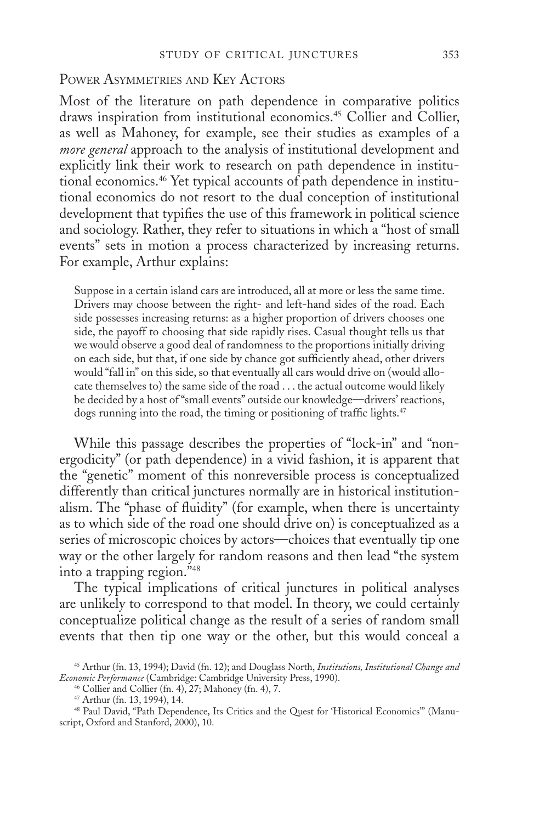#### Power Asymmetries and Key Actors

Most of the literature on path dependence in comparative politics draws inspiration from institutional economics.45 Collier and Collier, as well as Mahoney, for example, see their studies as examples of a *more general* approach to the analysis of institutional development and explicitly link their work to research on path dependence in institutional economics.<sup>46</sup> Yet typical accounts of path dependence in institutional economics do not resort to the dual conception of institutional development that typifies the use of this framework in political science and sociology. Rather, they refer to situations in which a "host of small events" sets in motion a process characterized by increasing returns. For example, Arthur explains:

Suppose in a certain island cars are introduced, all at more or less the same time. Drivers may choose between the right- and left-hand sides of the road. Each side possesses increasing returns: as a higher proportion of drivers chooses one side, the payoff to choosing that side rapidly rises. Casual thought tells us that we would observe a good deal of randomness to the proportions initially driving on each side, but that, if one side by chance got sufficiently ahead, other drivers would "fall in" on this side, so that eventually all cars would drive on (would allocate themselves to) the same side of the road . . . the actual outcome would likely be decided by a host of "small events" outside our knowledge—drivers' reactions, dogs running into the road, the timing or positioning of traffic lights.<sup>47</sup>

While this passage describes the properties of "lock-in" and "nonergodicity" (or path dependence) in a vivid fashion, it is apparent that the "genetic" moment of this nonreversible process is conceptualized differently than critical junctures normally are in historical institutionalism. The "phase of fluidity" (for example, when there is uncertainty as to which side of the road one should drive on) is conceptualized as a series of microscopic choices by actors—choices that eventually tip one way or the other largely for random reasons and then lead "the system into a trapping region."48

The typical implications of critical junctures in political analyses are unlikely to correspond to that model. In theory, we could certainly conceptualize political change as the result of a series of random small events that then tip one way or the other, but this would conceal a

<sup>45</sup> Arthur (fn. 13, 1994); David (fn. 12); and Douglass North, *Institutions, Institutional Change and Economic Performance* (Cambridge: Cambridge University Press, 1990). 46 Collier and Collier (fn. 4), 27; Mahoney (fn. 4), 7.

<sup>47</sup> Arthur (fn. 13, 1994), 14.

<sup>48</sup> Paul David, "Path Dependence, Its Critics and the Quest for 'Historical Economics'" (Manuscript, Oxford and Stanford, 2000), 10.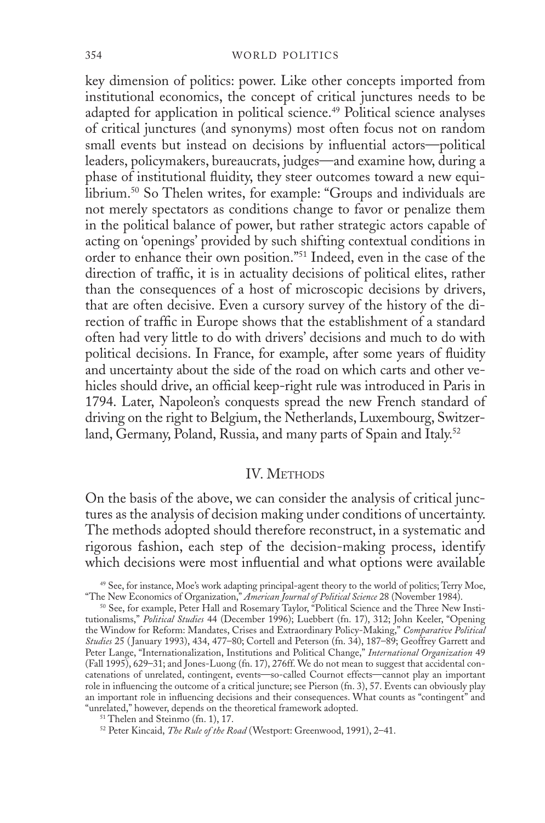key dimension of politics: power. Like other concepts imported from institutional economics, the concept of critical junctures needs to be adapted for application in political science.<sup>49</sup> Political science analyses of critical junctures (and synonyms) most often focus not on random small events but instead on decisions by influential actors—political leaders, policymakers, bureaucrats, judges—and examine how, during a phase of institutional fluidity, they steer outcomes toward a new equilibrium.50 So Thelen writes, for example: "Groups and individuals are not merely spectators as conditions change to favor or penalize them in the political balance of power, but rather strategic actors capable of acting on 'openings' provided by such shifting contextual conditions in order to enhance their own position."51 Indeed, even in the case of the direction of traffic, it is in actuality decisions of political elites, rather than the consequences of a host of microscopic decisions by drivers, that are often decisive. Even a cursory survey of the history of the direction of traffic in Europe shows that the establishment of a standard often had very little to do with drivers' decisions and much to do with political decisions. In France, for example, after some years of fluidity and uncertainty about the side of the road on which carts and other vehicles should drive, an official keep-right rule was introduced in Paris in 1794. Later, Napoleon's conquests spread the new French standard of driving on the right to Belgium, the Netherlands, Luxembourg, Switzerland, Germany, Poland, Russia, and many parts of Spain and Italy.<sup>52</sup>

#### IV. METHODS

On the basis of the above, we can consider the analysis of critical junctures as the analysis of decision making under conditions of uncertainty. The methods adopted should therefore reconstruct, in a systematic and rigorous fashion, each step of the decision-making process, identify which decisions were most influential and what options were available

 $^{50}$  See, for example, Peter Hall and Rosemary Taylor, "Political Science and the Three New Institutionalisms," *Political Studies* 44 (December 1996); Luebbert (fn. 17), 312; John Keeler, "Opening the Window for Reform: Mandates, Crises and Extraordinary Policy-Making," *Comparative Political Studies* 25 ( January 1993), 434, 477–80; Cortell and Peterson (fn. 34), 187–89; Geoffrey Garrett and Peter Lange, "Internationalization, Institutions and Political Change," *International Organization* 49 (Fall 1995), 629–31; and Jones-Luong (fn. 17), 276ff. We do not mean to suggest that accidental concatenations of unrelated, contingent, events—so-called Cournot effects—cannot play an important role in influencing the outcome of a critical juncture; see Pierson (fn. 3), 57. Events can obviously play an important role in influencing decisions and their consequences. What counts as "contingent" and "unrelated," however, depends on the theoretical framework adopted. 51 Thelen and Steinmo (fn. 1), 17.

<sup>&</sup>lt;sup>49</sup> See, for instance, Moe's work adapting principal-agent theory to the world of politics; Terry Moe, "The New Economics of Organization," *American Journal of Political Science* 28 (November 1984).

<sup>52</sup> Peter Kincaid, *The Rule of the Road* (Westport: Greenwood, 1991), 2–41.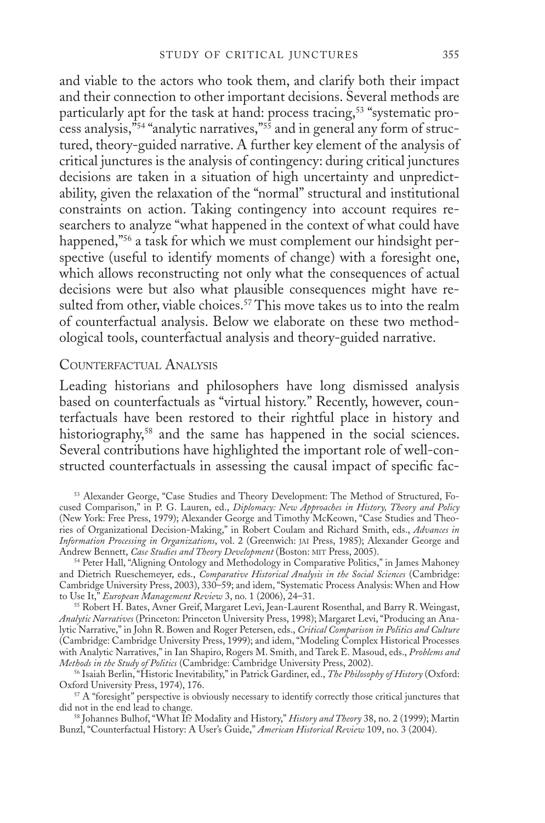and viable to the actors who took them, and clarify both their impact and their connection to other important decisions. Several methods are particularly apt for the task at hand: process tracing,53 "systematic process analysis,<sup> $54$ </sup> "analytic narratives," $5^{\frac{2}{3}}$  and in general any form of structured, theory-guided narrative. A further key element of the analysis of critical junctures is the analysis of contingency: during critical junctures decisions are taken in a situation of high uncertainty and unpredictability, given the relaxation of the "normal" structural and institutional constraints on action. Taking contingency into account requires researchers to analyze "what happened in the context of what could have happened,"<sup>56</sup> a task for which we must complement our hindsight perspective (useful to identify moments of change) with a foresight one, which allows reconstructing not only what the consequences of actual decisions were but also what plausible consequences might have resulted from other, viable choices.<sup>57</sup> This move takes us to into the realm of counterfactual analysis. Below we elaborate on these two methodological tools, counterfactual analysis and theory-guided narrative.

#### COUNTERFACTUAL ANALYSIS

Leading historians and philosophers have long dismissed analysis based on counterfactuals as "virtual history." Recently, however, counterfactuals have been restored to their rightful place in history and historiography,<sup>58</sup> and the same has happened in the social sciences. Several contributions have highlighted the important role of well-constructed counterfactuals in assessing the causal impact of specific fac-

<sup>53</sup> Alexander George, "Case Studies and Theory Development: The Method of Structured, Focused Comparison," in P. G. Lauren, ed., *Diplomacy: New Approaches in History, Theory and Policy* (New York: Free Press, 1979); Alexander George and Timothy McKeown, "Case Studies and Theories of Organizational Decision-Making," in Robert Coulam and Richard Smith, eds., *Advances in Information Processing in Organizations*, vol. 2 (Greenwich: jai Press, 1985); Alexander George and Andrew Bennett, *Case Studies and Theory Development* (Boston: mit Press, 2005).

<sup>54</sup> Peter Hall, "Aligning Ontology and Methodology in Comparative Politics," in James Mahoney and Dietrich Rueschemeyer, eds., *Comparative Historical Analysis in the Social Sciences* (Cambridge: Cambridge University Press, 2003), 330–59; and idem, "Systematic Process Analysis: When and How<br>to Use It," European Management Review 3, no. 1 (2006), 24–31.

<sup>&</sup>lt;sup>55</sup> Robert H. Bates, Avner Greif, Margaret Levi, Jean-Laurent Rosenthal, and Barry R. Weingast, *Analytic Narratives* (Princeton: Princeton University Press, 1998); Margaret Levi, "Producing an Analytic Narrative," in John R. Bowen and Roger Petersen, eds., *Critical Comparison in Politics and Culture* (Cambridge: Cambridge University Press, 1999); and idem, "Modeling Complex Historical Processes with Analytic Narratives," in Ian Shapiro, Rogers M. Smith, and Tarek E. Masoud, eds., *Problems and Methods in the Study of Politics* (Cambridge: Cambridge University Press, 2002). 56 Isaiah Berlin, "Historic Inevitability," in Patrick Gardiner, ed., *The Philosophy of History* (Oxford:

Oxford University Press, 1974), 176.

 $57$  A "foresight" perspective is obviously necessary to identify correctly those critical junctures that did not in the end lead to change. 58 Johannes Bulhof, "What If? Modality and History," *History and Theory* 38, no. 2 (1999); Martin

Bunzl, "Counterfactual History: A User's Guide," *American Historical Review* 109, no. 3 (2004).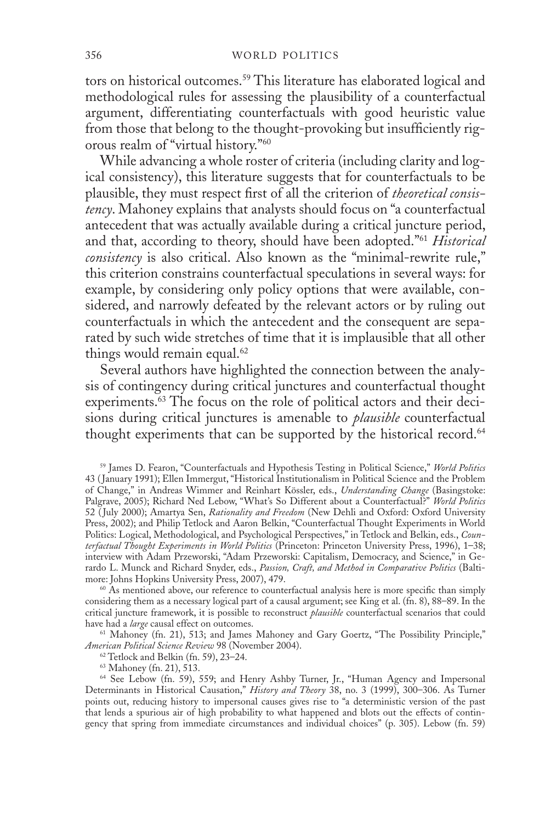#### 356 WORLD POLITICS

tors on historical outcomes.<sup>59</sup> This literature has elaborated logical and methodological rules for assessing the plausibility of a counterfactual argument, differentiating counterfactuals with good heuristic value from those that belong to the thought-provoking but insufficiently rigorous realm of "virtual history."60

While advancing a whole roster of criteria (including clarity and logical consistency), this literature suggests that for counterfactuals to be plausible, they must respect first of all the criterion of *theoretical consistency*. Mahoney explains that analysts should focus on "a counterfactual antecedent that was actually available during a critical juncture period, and that, according to theory, should have been adopted."61 *Historical consistency* is also critical. Also known as the "minimal-rewrite rule," this criterion constrains counterfactual speculations in several ways: for example, by considering only policy options that were available, considered, and narrowly defeated by the relevant actors or by ruling out counterfactuals in which the antecedent and the consequent are separated by such wide stretches of time that it is implausible that all other things would remain equal.<sup>62</sup>

Several authors have highlighted the connection between the analysis of contingency during critical junctures and counterfactual thought experiments.<sup>63</sup> The focus on the role of political actors and their decisions during critical junctures is amenable to *plausible* counterfactual thought experiments that can be supported by the historical record.<sup>64</sup>

considering them as a necessary logical part of a causal argument; see King et al. (fn. 8), 88–89. In the critical juncture framework, it is possible to reconstruct *plausible* counterfactual scenarios that could have had a *large* causal effect on outcomes. 61 Mahoney (fn. 21), 513; and James Mahoney and Gary Goertz, "The Possibility Principle,"

*American Political Science Review* 98 (November 2004).

62 Tetlock and Belkin (fn. 59), 23–24.

<sup>63</sup> Mahoney (fn. 21), 513.

64 See Lebow (fn. 59), 559; and Henry Ashby Turner, Jr., "Human Agency and Impersonal Determinants in Historical Causation," *History and Theory* 38, no. 3 (1999), 300–306. As Turner points out, reducing history to impersonal causes gives rise to "a deterministic version of the past that lends a spurious air of high probability to what happened and blots out the effects of contingency that spring from immediate circumstances and individual choices" (p. 305). Lebow (fn. 59)

<sup>59</sup> James D. Fearon, "Counterfactuals and Hypothesis Testing in Political Science," *World Politics* 43 ( January 1991); Ellen Immergut, "Historical Institutionalism in Political Science and the Problem of Change," in Andreas Wimmer and Reinhart Kössler, eds., *Understanding Change* (Basingstoke: Palgrave, 2005); Richard Ned Lebow, "What's So Different about a Counterfactual?" *World Politics* 52 ( July 2000); Amartya Sen, *Rationality and Freedom* (New Dehli and Oxford: Oxford University Press, 2002); and Philip Tetlock and Aaron Belkin, "Counterfactual Thought Experiments in World Politics: Logical, Methodological, and Psychological Perspectives," in Tetlock and Belkin, eds., *Counterfactual Thought Experiments in World Politics* (Princeton: Princeton University Press, 1996), 1–38; interview with Adam Przeworski, "Adam Przeworski: Capitalism, Democracy, and Science," in Gerardo L. Munck and Richard Snyder, eds., *Passion, Craft, and Method in Comparative Politics* (Baltimore: Johns Hopkins University Press, 2007), 479.<br><sup>60</sup> As mentioned above, our reference to counterfactual analysis here is more specific than simply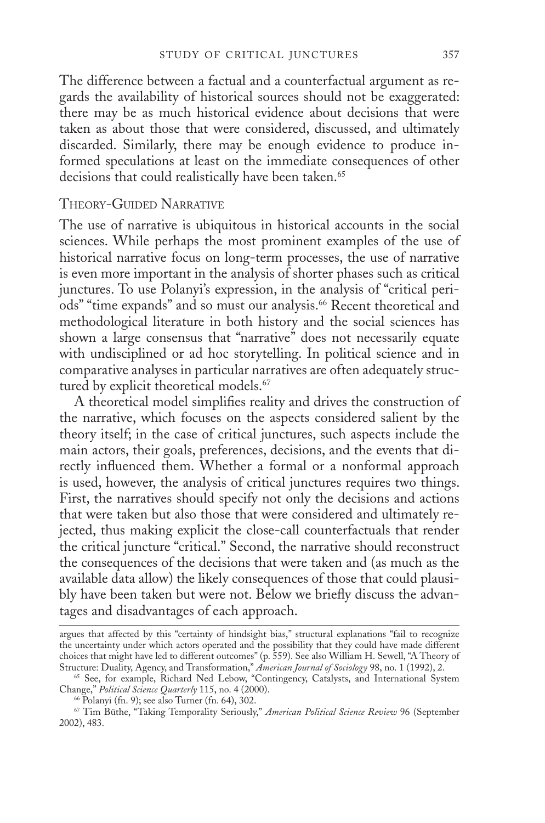The difference between a factual and a counterfactual argument as regards the availability of historical sources should not be exaggerated: there may be as much historical evidence about decisions that were taken as about those that were considered, discussed, and ultimately discarded. Similarly, there may be enough evidence to produce informed speculations at least on the immediate consequences of other decisions that could realistically have been taken.<sup>65</sup>

#### Theory-Guided Narrative

The use of narrative is ubiquitous in historical accounts in the social sciences. While perhaps the most prominent examples of the use of historical narrative focus on long-term processes, the use of narrative is even more important in the analysis of shorter phases such as critical junctures. To use Polanyi's expression, in the analysis of "critical periods" "time expands" and so must our analysis.66 Recent theoretical and methodological literature in both history and the social sciences has shown a large consensus that "narrative" does not necessarily equate with undisciplined or ad hoc storytelling. In political science and in comparative analyses in particular narratives are often adequately structured by explicit theoretical models.<sup>67</sup>

A theoretical model simplifies reality and drives the construction of the narrative, which focuses on the aspects considered salient by the theory itself; in the case of critical junctures, such aspects include the main actors, their goals, preferences, decisions, and the events that directly influenced them. Whether a formal or a nonformal approach is used, however, the analysis of critical junctures requires two things. First, the narratives should specify not only the decisions and actions that were taken but also those that were considered and ultimately rejected, thus making explicit the close-call counterfactuals that render the critical juncture "critical." Second, the narrative should reconstruct the consequences of the decisions that were taken and (as much as the available data allow) the likely consequences of those that could plausibly have been taken but were not. Below we briefly discuss the advantages and disadvantages of each approach.

argues that affected by this "certainty of hindsight bias," structural explanations "fail to recognize the uncertainty under which actors operated and the possibility that they could have made different choices that might have led to different outcomes" (p. 559). See also William H. Sewell, "A Theory of Structure: Duality, Agency, and Transformation," *American Journal of Sociology* 98, no. 1 (1992), 2.

<sup>&</sup>lt;sup>65</sup> See, for example, Richard Ned Lebow, "Contingency, Catalysts, and International System Change," *Political Science Quarterly* 115, no. 4 (2000).

<sup>66</sup> Polanyi (fn. 9); see also Turner (fn. 64), 302.

<sup>67</sup> Tim Büthe, "Taking Temporality Seriously," *American Political Science Review* 96 (September 2002), 483.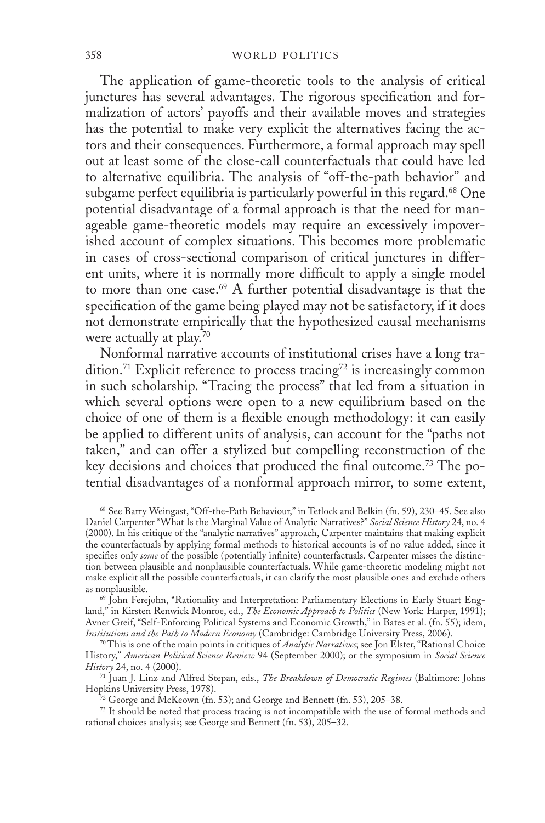The application of game-theoretic tools to the analysis of critical junctures has several advantages. The rigorous specification and formalization of actors' payoffs and their available moves and strategies has the potential to make very explicit the alternatives facing the actors and their consequences. Furthermore, a formal approach may spell out at least some of the close-call counterfactuals that could have led to alternative equilibria. The analysis of "off-the-path behavior" and subgame perfect equilibria is particularly powerful in this regard.<sup>68</sup> One potential disadvantage of a formal approach is that the need for manageable game-theoretic models may require an excessively impoverished account of complex situations. This becomes more problematic in cases of cross-sectional comparison of critical junctures in different units, where it is normally more difficult to apply a single model to more than one case.<sup>69</sup> A further potential disadvantage is that the specification of the game being played may not be satisfactory, if it does not demonstrate empirically that the hypothesized causal mechanisms were actually at play.<sup>70</sup>

Nonformal narrative accounts of institutional crises have a long tradition.<sup>71</sup> Explicit reference to process tracing<sup>72</sup> is increasingly common in such scholarship. "Tracing the process" that led from a situation in which several options were open to a new equilibrium based on the choice of one of them is a flexible enough methodology: it can easily be applied to different units of analysis, can account for the "paths not taken," and can offer a stylized but compelling reconstruction of the key decisions and choices that produced the final outcome.<sup>73</sup> The potential disadvantages of a nonformal approach mirror, to some extent,

68 See Barry Weingast, "Off-the-Path Behaviour," in Tetlock and Belkin (fn. 59), 230–45. See also Daniel Carpenter "What Is the Marginal Value of Analytic Narratives?" *Social Science History* 24, no. 4 (2000). In his critique of the "analytic narratives" approach, Carpenter maintains that making explicit the counterfactuals by applying formal methods to historical accounts is of no value added, since it specifies only *some* of the possible (potentially infinite) counterfactuals. Carpenter misses the distinction between plausible and nonplausible counterfactuals. While game-theoretic modeling might not make explicit all the possible counterfactuals, it can clarify the most plausible ones and exclude others as nonplausible.<br><sup>69</sup> John Ferejohn, "Rationality and Interpretation: Parliamentary Elections in Early Stuart Eng-

land," in Kirsten Renwick Monroe, ed., *The Economic Approach to Politics* (New York: Harper, 1991); Avner Greif, "Self-Enforcing Political Systems and Economic Growth," in Bates et al. (fn. 55); idem, *Institutions and the Path to Modern Economy* (Cambridge: Cambridge University Press, 2006).

70 This is one of the main points in critiques of *Analytic Narratives*; see Jon Elster, "Rational Choice History," *American Political Science Review* 94 (September 2000); or the symposium in *Social Science History* 24, no. 4 (2000).

71 Juan J. Linz and Alfred Stepan, eds., *The Breakdown of Democratic Regimes* (Baltimore: Johns Hopkins University Press, 1978).

72 George and McKeown (fn. 53); and George and Bennett (fn. 53), 205–38.

<sup>73</sup> It should be noted that process tracing is not incompatible with the use of formal methods and rational choices analysis; see George and Bennett (fn. 53), 205–32.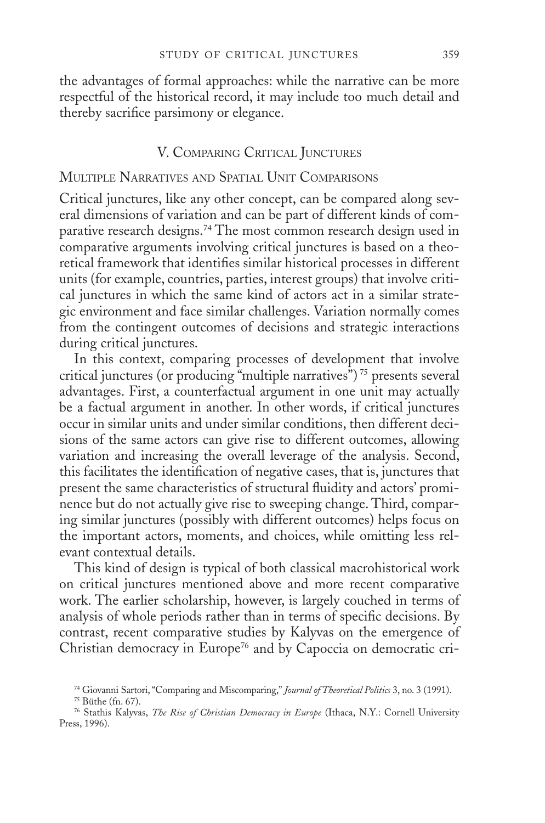the advantages of formal approaches: while the narrative can be more respectful of the historical record, it may include too much detail and thereby sacrifice parsimony or elegance.

#### V. Comparing Critical Junctures

#### MULTIPLE NARRATIVES AND SPATIAL UNIT COMPARISONS

Critical junctures, like any other concept, can be compared along several dimensions of variation and can be part of different kinds of comparative research designs.74 The most common research design used in comparative arguments involving critical junctures is based on a theoretical framework that identifies similar historical processes in different units (for example, countries, parties, interest groups) that involve critical junctures in which the same kind of actors act in a similar strategic environment and face similar challenges. Variation normally comes from the contingent outcomes of decisions and strategic interactions during critical junctures.

In this context, comparing processes of development that involve critical junctures (or producing "multiple narratives")<sup>75</sup> presents several advantages. First, a counterfactual argument in one unit may actually be a factual argument in another. In other words, if critical junctures occur in similar units and under similar conditions, then different decisions of the same actors can give rise to different outcomes, allowing variation and increasing the overall leverage of the analysis. Second, this facilitates the identification of negative cases, that is, junctures that present the same characteristics of structural fluidity and actors' prominence but do not actually give rise to sweeping change. Third, comparing similar junctures (possibly with different outcomes) helps focus on the important actors, moments, and choices, while omitting less relevant contextual details.

This kind of design is typical of both classical macrohistorical work on critical junctures mentioned above and more recent comparative work. The earlier scholarship, however, is largely couched in terms of analysis of whole periods rather than in terms of specific decisions. By contrast, recent comparative studies by Kalyvas on the emergence of Christian democracy in Europe<sup>76</sup> and by Capoccia on democratic cri-

<sup>74</sup> Giovanni Sartori, "Comparing and Miscomparing," *Journal of Theoretical Politics* 3, no. 3 (1991).

<sup>75</sup> Büthe (fn. 67).

<sup>76</sup> Stathis Kalyvas, *The Rise of Christian Democracy in Europe* (Ithaca, N.Y.: Cornell University Press, 1996).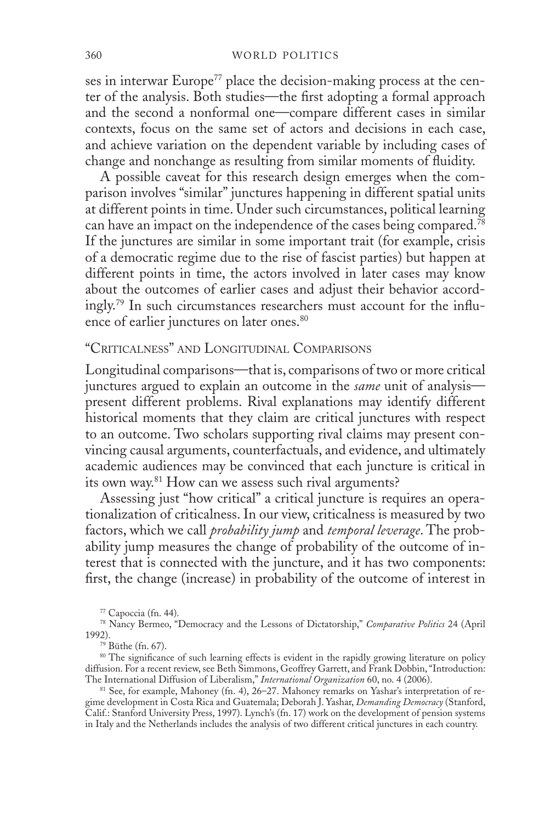#### 360 WORLD POLITICS

ses in interwar Europe<sup>77</sup> place the decision-making process at the center of the analysis. Both studies—the first adopting a formal approach and the second a nonformal one—compare different cases in similar contexts, focus on the same set of actors and decisions in each case, and achieve variation on the dependent variable by including cases of change and nonchange as resulting from similar moments of fluidity.

A possible caveat for this research design emerges when the comparison involves "similar" junctures happening in different spatial units at different points in time. Under such circumstances, political learning can have an impact on the independence of the cases being compared.<sup>78</sup> If the junctures are similar in some important trait (for example, crisis of a democratic regime due to the rise of fascist parties) but happen at different points in time, the actors involved in later cases may know about the outcomes of earlier cases and adjust their behavior accordingly.79 In such circumstances researchers must account for the influence of earlier junctures on later ones.<sup>80</sup>

## "Criticalness" and Longitudinal Comparisons

Longitudinal comparisons—that is, comparisons of two or more critical junctures argued to explain an outcome in the *same* unit of analysis present different problems. Rival explanations may identify different historical moments that they claim are critical junctures with respect to an outcome. Two scholars supporting rival claims may present convincing causal arguments, counterfactuals, and evidence, and ultimately academic audiences may be convinced that each juncture is critical in its own way.<sup>81</sup> How can we assess such rival arguments?

Assessing just "how critical" a critical juncture is requires an operationalization of criticalness. In our view, criticalness is measured by two factors, which we call *probability jump* and *temporal leverage*. The probability jump measures the change of probability of the outcome of interest that is connected with the juncture, and it has two components: first, the change (increase) in probability of the outcome of interest in

77 Capoccia (fn. 44).

<sup>78</sup> Nancy Bermeo, "Democracy and the Lessons of Dictatorship," *Comparative Politics* 24 (April 1992).

 $79$  Büthe (fn. 67).

80 The significance of such learning effects is evident in the rapidly growing literature on policy diffusion. For a recent review, see Beth Simmons, Geoffrey Garrett, and Frank Dobbin, "Introduction: The International Diffusion of Liberalism," *International Organization* 60, no. 4 (2006).

 $81$  See, for example, Mahoney (fn. 4), 26–27. Mahoney remarks on Yashar's interpretation of regime development in Costa Rica and Guatemala; Deborah J. Yashar, *Demanding Democracy* (Stanford, Calif.: Stanford University Press, 1997). Lynch's (fn. 17) work on the development of pension systems in Italy and the Netherlands includes the analysis of two different critical junctures in each country.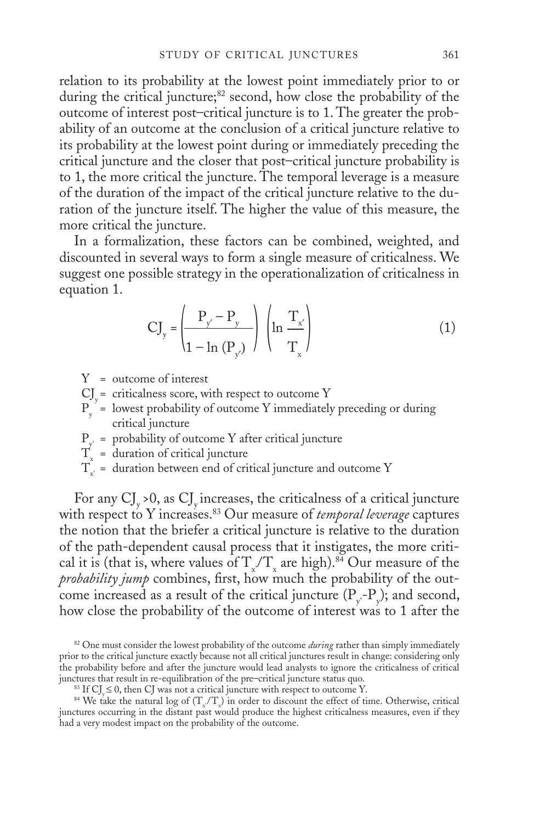relation to its probability at the lowest point immediately prior to or during the critical juncture;<sup>82</sup> second, how close the probability of the outcome of interest post–critical juncture is to 1. The greater the probability of an outcome at the conclusion of a critical juncture relative to its probability at the lowest point during or immediately preceding the critical juncture and the closer that post–critical juncture probability is to 1, the more critical the juncture. The temporal leverage is a measure of the duration of the impact of the critical juncture relative to the duration of the juncture itself. The higher the value of this measure, the more critical the juncture.

In a formalization, these factors can be combined, weighted, and discounted in several ways to form a single measure of criticalness. We suggest one possible strategy in the operationalization of criticalness in equation 1.

$$
CJ_{y} = \left(\frac{P_{y'} - P_{y}}{1 - \ln(P_{y'})}\right) \left(\ln \frac{T_{x'}}{T_{x}}\right)
$$
 (1)

- Y = outcome of interest
- $\text{CI}_v$  = criticalness score, with respect to outcome Y
- $P_y$  = lowest probability of outcome Y immediately preceding or during critical juncture
- $P_{v'}$  = probability of outcome Y after critical juncture
- $T_x =$  duration of critical juncture
- $T_v$  = duration between end of critical juncture and outcome Y

For any  $CJ_v$  >0, as  $CJ_v$  increases, the criticalness of a critical juncture with respect to Y increases.<sup>83</sup> Our measure of *temporal leverage* captures the notion that the briefer a critical juncture is relative to the duration of the path-dependent causal process that it instigates, the more critical it is (that is, where values of  $T_x/T_x$  are high).<sup>84</sup> Our measure of the *probability jump* combines, first, how much the probability of the outcome increased as a result of the critical juncture  $(P_y - P_y)$ ; and second, how close the probability of the outcome of interest was to 1 after the

<sup>&</sup>lt;sup>82</sup> One must consider the lowest probability of the outcome *during* rather than simply immediately prior to the critical juncture exactly because not all critical junctures result in change: considering only the probability before and after the juncture would lead analysts to ignore the criticalness of critical junctures that result in re-equilibration of the pre–critical juncture status quo.

<sup>&</sup>lt;sup>83</sup> If CJ<sub>y</sub> ≤ 0, then CJ was not a critical juncture with respect to outcome Y.<br><sup>84</sup> We take the natural log of (T<sub>x</sub>/T<sub>x</sub>) in order to discount the effect of time. Otherwise, critical junctures occurring in the distant past would produce the highest criticalness measures, even if they had a very modest impact on the probability of the outcome.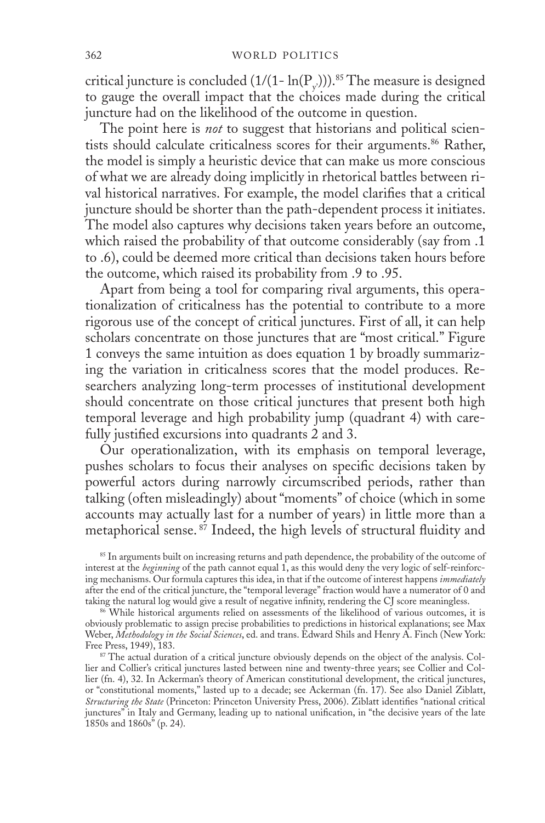critical juncture is concluded  $(1/(1-\ln(P_y)))$ .<sup>85</sup> The measure is designed to gauge the overall impact that the choices made during the critical juncture had on the likelihood of the outcome in question.

The point here is *not* to suggest that historians and political scientists should calculate criticalness scores for their arguments.<sup>86</sup> Rather, the model is simply a heuristic device that can make us more conscious of what we are already doing implicitly in rhetorical battles between rival historical narratives. For example, the model clarifies that a critical juncture should be shorter than the path-dependent process it initiates. The model also captures why decisions taken years before an outcome, which raised the probability of that outcome considerably (say from .1 to .6), could be deemed more critical than decisions taken hours before the outcome, which raised its probability from .9 to .95.

Apart from being a tool for comparing rival arguments, this operationalization of criticalness has the potential to contribute to a more rigorous use of the concept of critical junctures. First of all, it can help scholars concentrate on those junctures that are "most critical." Figure 1 conveys the same intuition as does equation 1 by broadly summarizing the variation in criticalness scores that the model produces. Researchers analyzing long-term processes of institutional development should concentrate on those critical junctures that present both high temporal leverage and high probability jump (quadrant 4) with carefully justified excursions into quadrants 2 and 3.

Our operationalization, with its emphasis on temporal leverage, pushes scholars to focus their analyses on specific decisions taken by powerful actors during narrowly circumscribed periods, rather than talking (often misleadingly) about "moments" of choice (which in some accounts may actually last for a number of years) in little more than a metaphorical sense.<sup>87</sup> Indeed, the high levels of structural fluidity and

<sup>85</sup> In arguments built on increasing returns and path dependence, the probability of the outcome of interest at the *beginning* of the path cannot equal 1, as this would deny the very logic of self-reinforcing mechanisms. Our formula captures this idea, in that if the outcome of interest happens *immediately*  after the end of the critical juncture, the "temporal leverage" fraction would have a numerator of 0 and taking the natural log would give a result of negative infinity, rendering the CJ score meaningless.

86 While historical arguments relied on assessments of the likelihood of various outcomes, it is obviously problematic to assign precise probabilities to predictions in historical explanations; see Max Weber, *Methodology in the Social Sciences*, ed. and trans. Edward Shils and Henry A. Finch (New York: Free Press, 1949), 183.

<sup>87</sup> The actual duration of a critical juncture obviously depends on the object of the analysis. Collier and Collier's critical junctures lasted between nine and twenty-three years; see Collier and Collier (fn. 4), 32. In Ackerman's theory of American constitutional development, the critical junctures, or "constitutional moments," lasted up to a decade; see Ackerman (fn. 17). See also Daniel Ziblatt, *Structuring the State* (Princeton: Princeton University Press, 2006). Ziblatt identifies "national critical junctures" in Italy and Germany, leading up to national unification, in "the decisive years of the late 1850s and  $1860s^{\frac{1}{2}}$  (p. 24).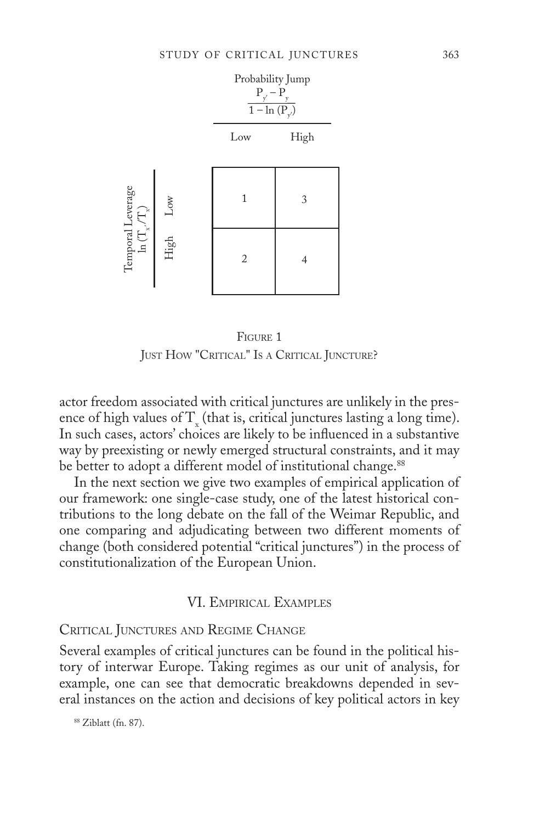



actor freedom associated with critical junctures are unlikely in the presence of high values of  $T_{y}$  (that is, critical junctures lasting a long time). In such cases, actors' choices are likely to be influenced in a substantive way by preexisting or newly emerged structural constraints, and it may be better to adopt a different model of institutional change.<sup>88</sup>

In the next section we give two examples of empirical application of our framework: one single-case study, one of the latest historical contributions to the long debate on the fall of the Weimar Republic, and one comparing and adjudicating between two different moments of change (both considered potential "critical junctures") in the process of constitutionalization of the European Union.

#### VI. Empirical Examples

#### Critical Junctures and Regime Change

Several examples of critical junctures can be found in the political history of interwar Europe. Taking regimes as our unit of analysis, for example, one can see that democratic breakdowns depended in several instances on the action and decisions of key political actors in key

88 Ziblatt (fn. 87).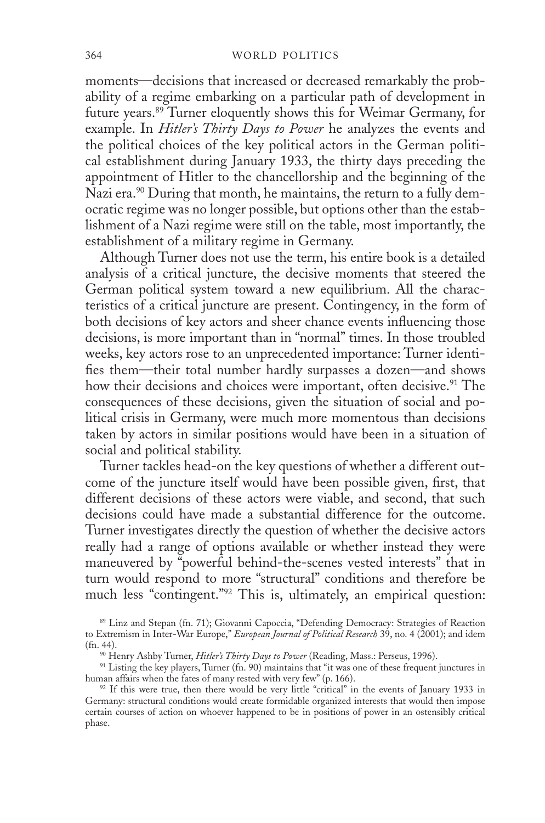moments—decisions that increased or decreased remarkably the probability of a regime embarking on a particular path of development in future years.89 Turner eloquently shows this for Weimar Germany, for example. In *Hitler's Thirty Days to Power* he analyzes the events and the political choices of the key political actors in the German political establishment during January 1933, the thirty days preceding the appointment of Hitler to the chancellorship and the beginning of the Nazi era.<sup>90</sup> During that month, he maintains, the return to a fully democratic regime was no longer possible, but options other than the establishment of a Nazi regime were still on the table, most importantly, the establishment of a military regime in Germany.

Although Turner does not use the term, his entire book is a detailed analysis of a critical juncture, the decisive moments that steered the German political system toward a new equilibrium. All the characteristics of a critical juncture are present. Contingency, in the form of both decisions of key actors and sheer chance events influencing those decisions, is more important than in "normal" times. In those troubled weeks, key actors rose to an unprecedented importance: Turner identifies them—their total number hardly surpasses a dozen—and shows how their decisions and choices were important, often decisive.<sup>91</sup> The consequences of these decisions, given the situation of social and political crisis in Germany, were much more momentous than decisions taken by actors in similar positions would have been in a situation of social and political stability.

Turner tackles head-on the key questions of whether a different outcome of the juncture itself would have been possible given, first, that different decisions of these actors were viable, and second, that such decisions could have made a substantial difference for the outcome. Turner investigates directly the question of whether the decisive actors really had a range of options available or whether instead they were maneuvered by "powerful behind-the-scenes vested interests" that in turn would respond to more "structural" conditions and therefore be much less "contingent."92 This is, ultimately, an empirical question:

<sup>89</sup> Linz and Stepan (fn. 71); Giovanni Capoccia, "Defending Democracy: Strategies of Reaction to Extremism in Inter-War Europe," *European Journal of Political Research* 39, no. 4 (2001); and idem (fn. 44).

<sup>90</sup> Henry Ashby Turner, *Hitler's Thirty Days to Power* (Reading, Mass.: Perseus, 1996).

<sup>&</sup>lt;sup>91</sup> Listing the key players, Turner (fn. 90) maintains that "it was one of these frequent junctures in human affairs when the fates of many rested with very few" (p. 166).

<sup>&</sup>lt;sup>92</sup> If this were true, then there would be very little "critical" in the events of January 1933 in Germany: structural conditions would create formidable organized interests that would then impose certain courses of action on whoever happened to be in positions of power in an ostensibly critical phase.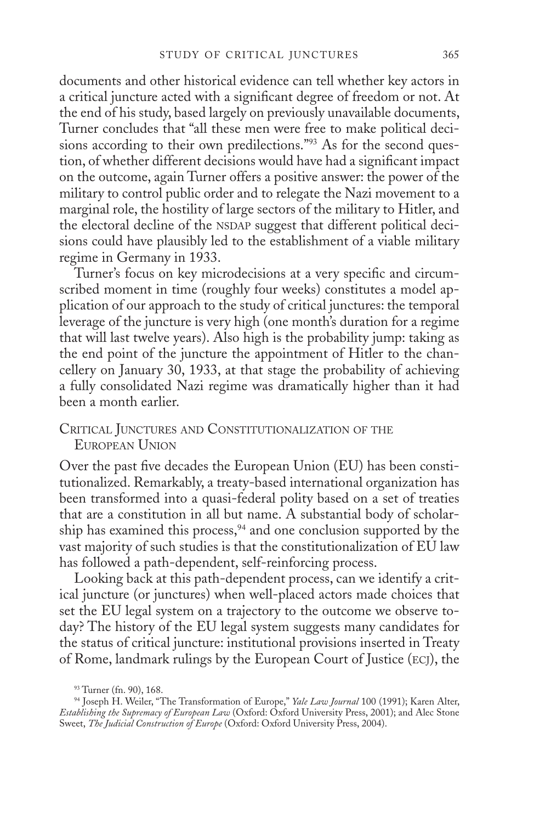documents and other historical evidence can tell whether key actors in a critical juncture acted with a significant degree of freedom or not. At the end of his study, based largely on previously unavailable documents, Turner concludes that "all these men were free to make political decisions according to their own predilections."<sup>93</sup> As for the second question, of whether different decisions would have had a significant impact on the outcome, again Turner offers a positive answer: the power of the military to control public order and to relegate the Nazi movement to a marginal role, the hostility of large sectors of the military to Hitler, and the electoral decline of the NSDAP suggest that different political decisions could have plausibly led to the establishment of a viable military regime in Germany in 1933.

Turner's focus on key microdecisions at a very specific and circumscribed moment in time (roughly four weeks) constitutes a model application of our approach to the study of critical junctures: the temporal leverage of the juncture is very high (one month's duration for a regime that will last twelve years). Also high is the probability jump: taking as the end point of the juncture the appointment of Hitler to the chancellery on January 30, 1933, at that stage the probability of achieving a fully consolidated Nazi regime was dramatically higher than it had been a month earlier.

Critical Junctures and Constitutionalization of the European Union

Over the past five decades the European Union (EU) has been constitutionalized. Remarkably, a treaty-based international organization has been transformed into a quasi-federal polity based on a set of treaties that are a constitution in all but name. A substantial body of scholarship has examined this process,<sup>94</sup> and one conclusion supported by the vast majority of such studies is that the constitutionalization of EU law has followed a path-dependent, self-reinforcing process.

Looking back at this path-dependent process, can we identify a critical juncture (or junctures) when well-placed actors made choices that set the EU legal system on a trajectory to the outcome we observe today? The history of the EU legal system suggests many candidates for the status of critical juncture: institutional provisions inserted in Treaty of Rome, landmark rulings by the European Court of Justice (ecj), the

<sup>93</sup> Turner (fn. 90), 168.

<sup>94</sup> Joseph H. Weiler, "The Transformation of Europe," *Yale Law Journal* 100 (1991); Karen Alter, *Establishing the Supremacy of European Law* (Oxford: Oxford University Press, 2001); and Alec Stone Sweet, *The Judicial Construction of Europe* (Oxford: Oxford University Press, 2004).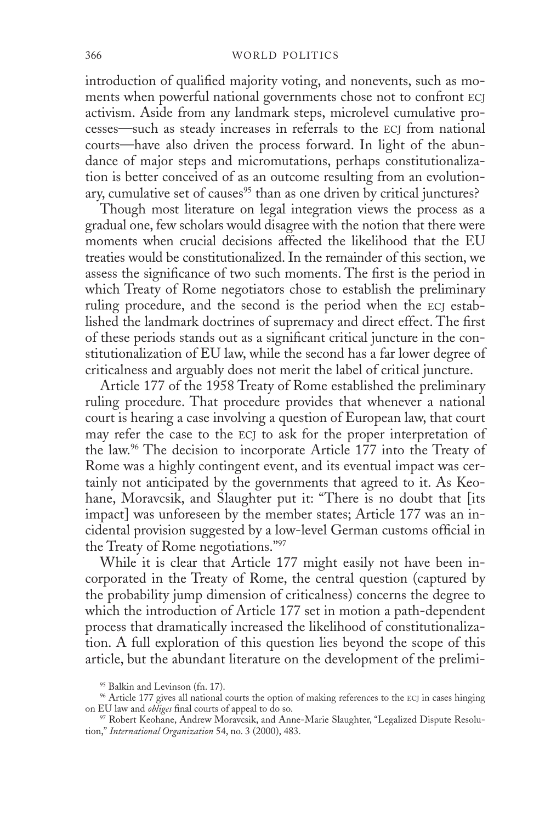#### 366 WORLD POLITICS

introduction of qualified majority voting, and nonevents, such as moments when powerful national governments chose not to confront ecj activism. Aside from any landmark steps, microlevel cumulative processes—such as steady increases in referrals to the ecj from national courts—have also driven the process forward. In light of the abundance of major steps and micromutations, perhaps constitutionalization is better conceived of as an outcome resulting from an evolutionary, cumulative set of causes<sup>95</sup> than as one driven by critical junctures?

Though most literature on legal integration views the process as a gradual one, few scholars would disagree with the notion that there were moments when crucial decisions affected the likelihood that the EU treaties would be constitutionalized. In the remainder of this section, we assess the significance of two such moments. The first is the period in which Treaty of Rome negotiators chose to establish the preliminary ruling procedure, and the second is the period when the ecj established the landmark doctrines of supremacy and direct effect. The first of these periods stands out as a significant critical juncture in the constitutionalization of EU law, while the second has a far lower degree of criticalness and arguably does not merit the label of critical juncture.

Article 177 of the 1958 Treaty of Rome established the preliminary ruling procedure. That procedure provides that whenever a national court is hearing a case involving a question of European law, that court may refer the case to the ecj to ask for the proper interpretation of the law.96 The decision to incorporate Article 177 into the Treaty of Rome was a highly contingent event, and its eventual impact was certainly not anticipated by the governments that agreed to it. As Keohane, Moravcsik, and Slaughter put it: "There is no doubt that [its impact] was unforeseen by the member states; Article 177 was an incidental provision suggested by a low-level German customs official in the Treaty of Rome negotiations."97

While it is clear that Article 177 might easily not have been incorporated in the Treaty of Rome, the central question (captured by the probability jump dimension of criticalness) concerns the degree to which the introduction of Article 177 set in motion a path-dependent process that dramatically increased the likelihood of constitutionalization. A full exploration of this question lies beyond the scope of this article, but the abundant literature on the development of the prelimi-

<sup>&</sup>lt;sup>95</sup> Balkin and Levinson (fn. 17).

<sup>96</sup> Article 177 gives all national courts the option of making references to the ecj in cases hinging on EU law and *obliges* final courts of appeal to do so.

<sup>97</sup> Robert Keohane, Andrew Moravcsik, and Anne-Marie Slaughter, "Legalized Dispute Resolution," *International Organization* 54, no. 3 (2000), 483.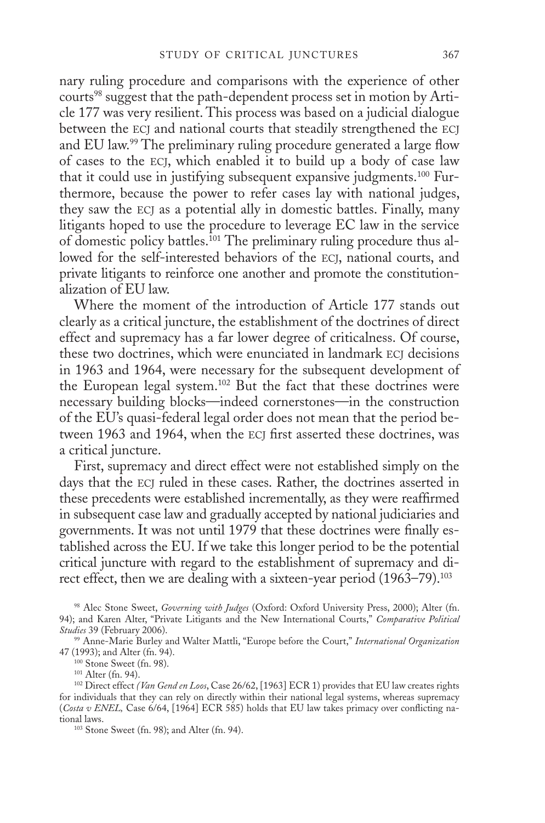nary ruling procedure and comparisons with the experience of other courts<sup>98</sup> suggest that the path-dependent process set in motion by Article 177 was very resilient. This process was based on a judicial dialogue between the ECJ and national courts that steadily strengthened the ECJ and EU law.<sup>99</sup> The preliminary ruling procedure generated a large flow of cases to the ecj, which enabled it to build up a body of case law that it could use in justifying subsequent expansive judgments.100 Furthermore, because the power to refer cases lay with national judges, they saw the ecj as a potential ally in domestic battles. Finally, many litigants hoped to use the procedure to leverage EC law in the service of domestic policy battles.101 The preliminary ruling procedure thus allowed for the self-interested behaviors of the ecj, national courts, and private litigants to reinforce one another and promote the constitutionalization of EU law.

Where the moment of the introduction of Article 177 stands out clearly as a critical juncture, the establishment of the doctrines of direct effect and supremacy has a far lower degree of criticalness. Of course, these two doctrines, which were enunciated in landmark ECJ decisions in 1963 and 1964, were necessary for the subsequent development of the European legal system.102 But the fact that these doctrines were necessary building blocks—indeed cornerstones—in the construction of the EU's quasi-federal legal order does not mean that the period between 1963 and 1964, when the ecj first asserted these doctrines, was a critical juncture.

First, supremacy and direct effect were not established simply on the days that the ecj ruled in these cases. Rather, the doctrines asserted in these precedents were established incrementally, as they were reaffirmed in subsequent case law and gradually accepted by national judiciaries and governments. It was not until 1979 that these doctrines were finally established across the EU. If we take this longer period to be the potential critical juncture with regard to the establishment of supremacy and direct effect, then we are dealing with a sixteen-year period (1963-79).<sup>103</sup>

<sup>98</sup> Alec Stone Sweet, *Governing with Judges* (Oxford: Oxford University Press, 2000); Alter (fn. 94); and Karen Alter, "Private Litigants and the New International Courts," *Comparative Political Studies* 39 (February 2006).

<sup>99</sup> Anne-Marie Burley and Walter Mattli, "Europe before the Court," *International Organization* 47 (1993); and Alter (fn. 94).

100 Stone Sweet (fn. 98).

<sup>101</sup> Alter (fn. 94).

<sup>102</sup> Direct effect *(Van Gend en Loos*, Case 26/62, [1963] ECR 1) provides that EU law creates rights for individuals that they can rely on directly within their national legal systems, whereas supremacy (*Costa v ENEL,* Case 6/64, [1964] ECR 585) holds that EU law takes primacy over conflicting national laws.

103 Stone Sweet (fn. 98); and Alter (fn. 94).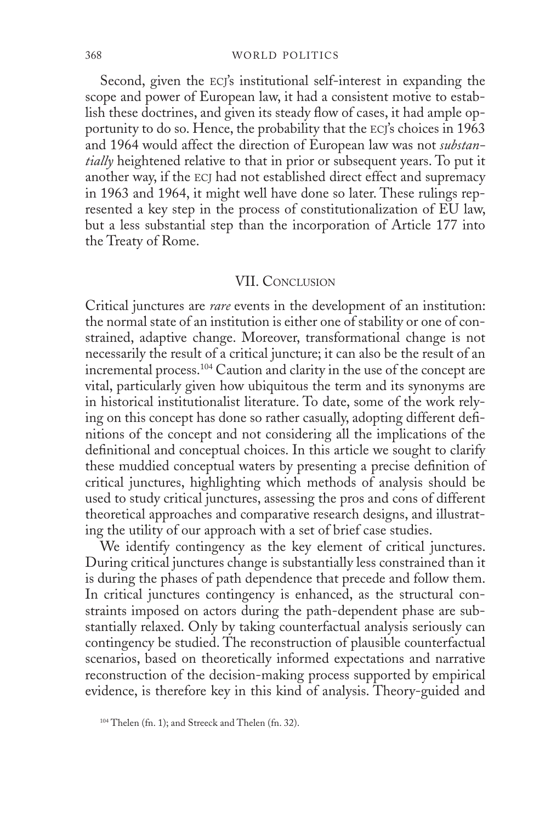Second, given the ecj's institutional self-interest in expanding the scope and power of European law, it had a consistent motive to establish these doctrines, and given its steady flow of cases, it had ample opportunity to do so. Hence, the probability that the ECJ's choices in 1963 and 1964 would affect the direction of European law was not *substantially* heightened relative to that in prior or subsequent years. To put it another way, if the ecj had not established direct effect and supremacy in 1963 and 1964, it might well have done so later. These rulings represented a key step in the process of constitutionalization of EU law, but a less substantial step than the incorporation of Article 177 into the Treaty of Rome.

#### VII. Conclusion

Critical junctures are *rare* events in the development of an institution: the normal state of an institution is either one of stability or one of constrained, adaptive change. Moreover, transformational change is not necessarily the result of a critical juncture; it can also be the result of an incremental process.104 Caution and clarity in the use of the concept are vital, particularly given how ubiquitous the term and its synonyms are in historical institutionalist literature. To date, some of the work relying on this concept has done so rather casually, adopting different definitions of the concept and not considering all the implications of the definitional and conceptual choices. In this article we sought to clarify these muddied conceptual waters by presenting a precise definition of critical junctures, highlighting which methods of analysis should be used to study critical junctures, assessing the pros and cons of different theoretical approaches and comparative research designs, and illustrating the utility of our approach with a set of brief case studies.

We identify contingency as the key element of critical junctures. During critical junctures change is substantially less constrained than it is during the phases of path dependence that precede and follow them. In critical junctures contingency is enhanced, as the structural constraints imposed on actors during the path-dependent phase are substantially relaxed. Only by taking counterfactual analysis seriously can contingency be studied. The reconstruction of plausible counterfactual scenarios, based on theoretically informed expectations and narrative reconstruction of the decision-making process supported by empirical evidence, is therefore key in this kind of analysis. Theory-guided and

<sup>104</sup> Thelen (fn. 1); and Streeck and Thelen (fn. 32).